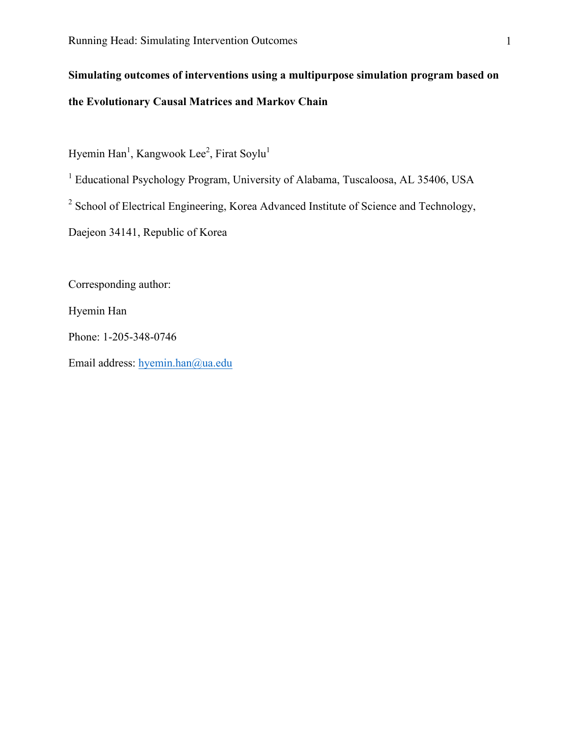# **Simulating outcomes of interventions using a multipurpose simulation program based on the Evolutionary Causal Matrices and Markov Chain**

Hyemin Han<sup>1</sup>, Kangwook Lee<sup>2</sup>, Firat Soylu<sup>1</sup>

<sup>1</sup> Educational Psychology Program, University of Alabama, Tuscaloosa, AL 35406, USA

<sup>2</sup> School of Electrical Engineering, Korea Advanced Institute of Science and Technology,

Daejeon 34141, Republic of Korea

Corresponding author:

Hyemin Han

Phone: 1-205-348-0746

Email address: hyemin.han@ua.edu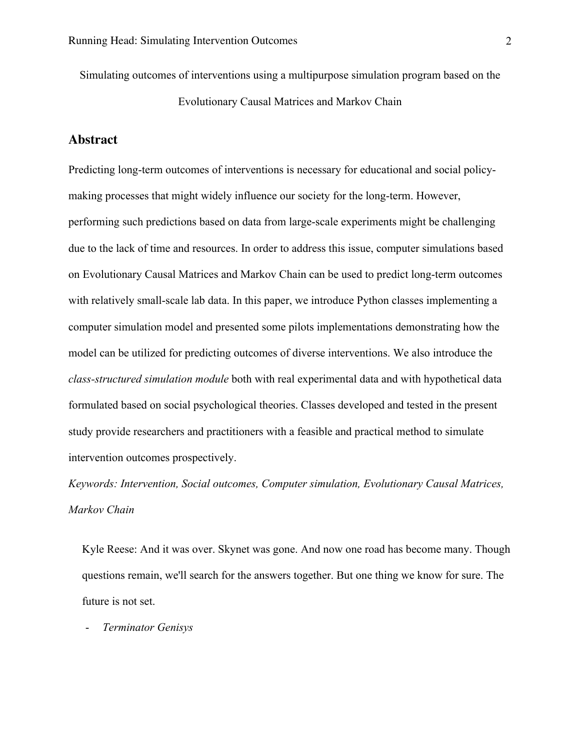Simulating outcomes of interventions using a multipurpose simulation program based on the Evolutionary Causal Matrices and Markov Chain

### **Abstract**

Predicting long-term outcomes of interventions is necessary for educational and social policymaking processes that might widely influence our society for the long-term. However, performing such predictions based on data from large-scale experiments might be challenging due to the lack of time and resources. In order to address this issue, computer simulations based on Evolutionary Causal Matrices and Markov Chain can be used to predict long-term outcomes with relatively small-scale lab data. In this paper, we introduce Python classes implementing a computer simulation model and presented some pilots implementations demonstrating how the model can be utilized for predicting outcomes of diverse interventions. We also introduce the *class-structured simulation module* both with real experimental data and with hypothetical data formulated based on social psychological theories. Classes developed and tested in the present study provide researchers and practitioners with a feasible and practical method to simulate intervention outcomes prospectively.

*Keywords: Intervention, Social outcomes, Computer simulation, Evolutionary Causal Matrices, Markov Chain*

Kyle Reese: And it was over. Skynet was gone. And now one road has become many. Though questions remain, we'll search for the answers together. But one thing we know for sure. The future is not set.

- *Terminator Genisys*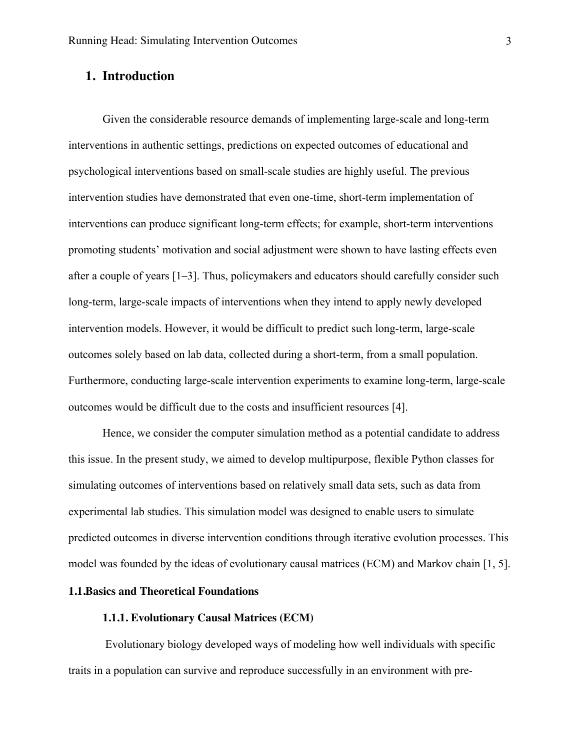## **1. Introduction**

Given the considerable resource demands of implementing large-scale and long-term interventions in authentic settings, predictions on expected outcomes of educational and psychological interventions based on small-scale studies are highly useful. The previous intervention studies have demonstrated that even one-time, short-term implementation of interventions can produce significant long-term effects; for example, short-term interventions promoting students' motivation and social adjustment were shown to have lasting effects even after a couple of years [1–3]. Thus, policymakers and educators should carefully consider such long-term, large-scale impacts of interventions when they intend to apply newly developed intervention models. However, it would be difficult to predict such long-term, large-scale outcomes solely based on lab data, collected during a short-term, from a small population. Furthermore, conducting large-scale intervention experiments to examine long-term, large-scale outcomes would be difficult due to the costs and insufficient resources [4].

Hence, we consider the computer simulation method as a potential candidate to address this issue. In the present study, we aimed to develop multipurpose, flexible Python classes for simulating outcomes of interventions based on relatively small data sets, such as data from experimental lab studies. This simulation model was designed to enable users to simulate predicted outcomes in diverse intervention conditions through iterative evolution processes. This model was founded by the ideas of evolutionary causal matrices (ECM) and Markov chain [1, 5].

## **1.1.Basics and Theoretical Foundations**

### **1.1.1. Evolutionary Causal Matrices (ECM)**

Evolutionary biology developed ways of modeling how well individuals with specific traits in a population can survive and reproduce successfully in an environment with pre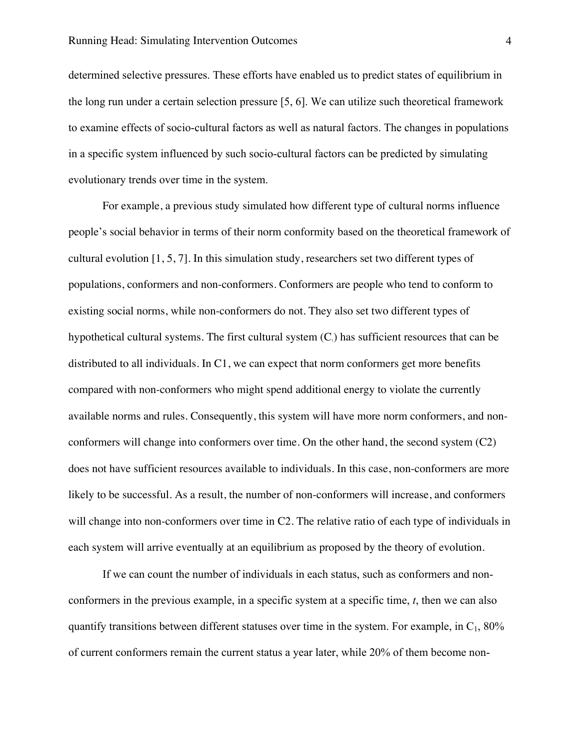determined selective pressures. These efforts have enabled us to predict states of equilibrium in the long run under a certain selection pressure [5, 6]. We can utilize such theoretical framework to examine effects of socio-cultural factors as well as natural factors. The changes in populations in a specific system influenced by such socio-cultural factors can be predicted by simulating evolutionary trends over time in the system.

For example, a previous study simulated how different type of cultural norms influence people's social behavior in terms of their norm conformity based on the theoretical framework of cultural evolution [1, 5, 7]. In this simulation study, researchers set two different types of populations, conformers and non-conformers. Conformers are people who tend to conform to existing social norms, while non-conformers do not. They also set two different types of hypothetical cultural systems. The first cultural system  $(C<sub>i</sub>)$  has sufficient resources that can be distributed to all individuals. In C1, we can expect that norm conformers get more benefits compared with non-conformers who might spend additional energy to violate the currently available norms and rules. Consequently, this system will have more norm conformers, and nonconformers will change into conformers over time. On the other hand, the second system (C2) does not have sufficient resources available to individuals. In this case, non-conformers are more likely to be successful. As a result, the number of non-conformers will increase, and conformers will change into non-conformers over time in C2. The relative ratio of each type of individuals in each system will arrive eventually at an equilibrium as proposed by the theory of evolution.

If we can count the number of individuals in each status, such as conformers and nonconformers in the previous example, in a specific system at a specific time, *t*, then we can also quantify transitions between different statuses over time in the system. For example, in  $C_1$ , 80% of current conformers remain the current status a year later, while 20% of them become non-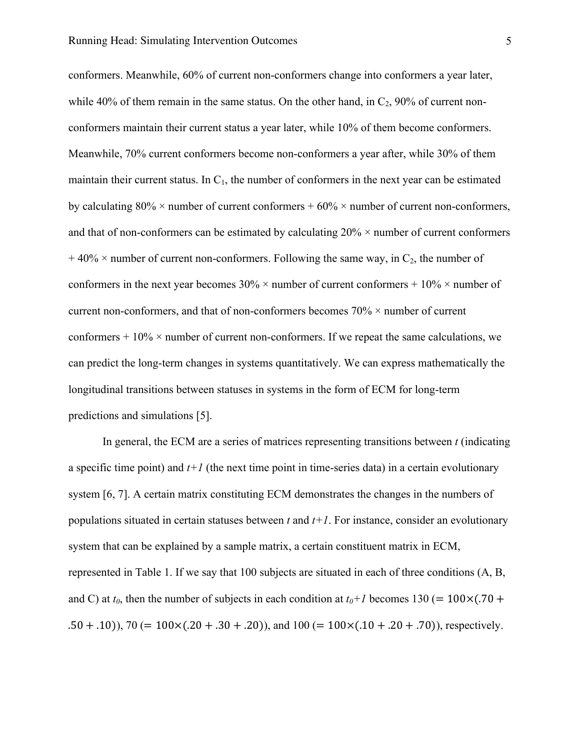conformers. Meanwhile, 60% of current non-conformers change into conformers a year later, while 40% of them remain in the same status. On the other hand, in  $C_2$ , 90% of current nonconformers maintain their current status a year later, while 10% of them become conformers. Meanwhile, 70% current conformers become non-conformers a year after, while 30% of them maintain their current status. In  $C_1$ , the number of conformers in the next year can be estimated by calculating  $80\% \times$  number of current conformers +  $60\% \times$  number of current non-conformers, and that of non-conformers can be estimated by calculating  $20\% \times$  number of current conformers  $+40\% \times$  number of current non-conformers. Following the same way, in C<sub>2</sub>, the number of conformers in the next year becomes  $30\% \times$  number of current conformers +  $10\% \times$  number of current non-conformers, and that of non-conformers becomes 70% × number of current conformers  $+10\%$  × number of current non-conformers. If we repeat the same calculations, we can predict the long-term changes in systems quantitatively. We can express mathematically the longitudinal transitions between statuses in systems in the form of ECM for long-term predictions and simulations [5].

In general, the ECM are a series of matrices representing transitions between *t* (indicating a specific time point) and  $t+1$  (the next time point in time-series data) in a certain evolutionary system [6, 7]. A certain matrix constituting ECM demonstrates the changes in the numbers of populations situated in certain statuses between *t* and *t+1*. For instance, consider an evolutionary system that can be explained by a sample matrix, a certain constituent matrix in ECM, represented in Table 1. If we say that 100 subjects are situated in each of three conditions (A, B, and C) at  $t_0$ , then the number of subjects in each condition at  $t_0+1$  becomes 130 (= 100×(.70 +  $(0.50 + .10)$ ,  $70 (= 100 \times (0.20 + .30 + .20))$ , and  $100 (= 100 \times (0.10 + .20 + .70))$ , respectively.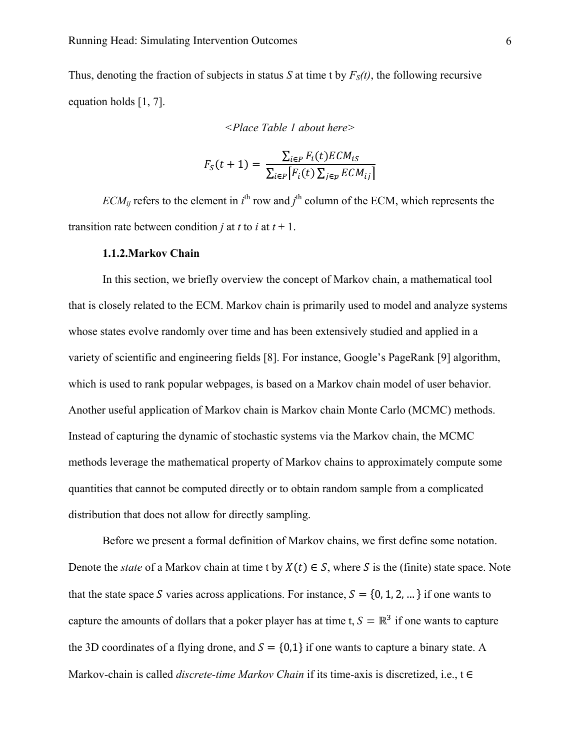Thus, denoting the fraction of subjects in status *S* at time t by  $F<sub>S</sub>(t)$ , the following recursive equation holds [1, 7].

*<Place Table 1 about here>*

$$
F_S(t+1) = \frac{\sum_{i \in P} F_i(t) ECM_{is}}{\sum_{i \in P} [F_i(t) \sum_{j \in p} ECM_{ij}]}
$$

 $ECM_{ij}$  refers to the element in  $i^{\text{th}}$  row and  $j^{\text{th}}$  column of the ECM, which represents the transition rate between condition *j* at *t* to *i* at  $t + 1$ .

#### **1.1.2.Markov Chain**

In this section, we briefly overview the concept of Markov chain, a mathematical tool that is closely related to the ECM. Markov chain is primarily used to model and analyze systems whose states evolve randomly over time and has been extensively studied and applied in a variety of scientific and engineering fields [8]. For instance, Google's PageRank [9] algorithm, which is used to rank popular webpages, is based on a Markov chain model of user behavior. Another useful application of Markov chain is Markov chain Monte Carlo (MCMC) methods. Instead of capturing the dynamic of stochastic systems via the Markov chain, the MCMC methods leverage the mathematical property of Markov chains to approximately compute some quantities that cannot be computed directly or to obtain random sample from a complicated distribution that does not allow for directly sampling.

Before we present a formal definition of Markov chains, we first define some notation. Denote the *state* of a Markov chain at time t by  $X(t) \in S$ , where S is the (finite) state space. Note that the state space S varies across applications. For instance,  $S = \{0, 1, 2, ...\}$  if one wants to capture the amounts of dollars that a poker player has at time t,  $S = \mathbb{R}^3$  if one wants to capture the 3D coordinates of a flying drone, and  $S = \{0, 1\}$  if one wants to capture a binary state. A Markov-chain is called *discrete-time Markov Chain* if its time-axis is discretized, i.e., t ∈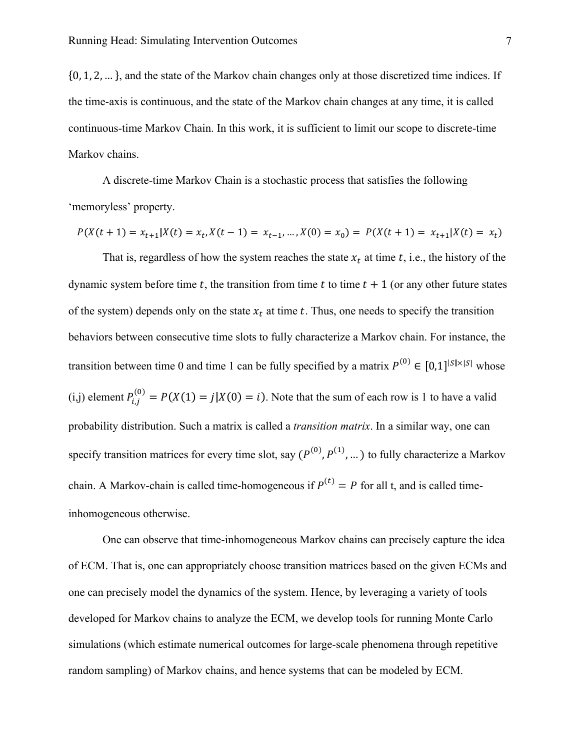$\{0, 1, 2, \ldots\}$ , and the state of the Markov chain changes only at those discretized time indices. If the time-axis is continuous, and the state of the Markov chain changes at any time, it is called continuous-time Markov Chain. In this work, it is sufficient to limit our scope to discrete-time Markov chains.

A discrete-time Markov Chain is a stochastic process that satisfies the following 'memoryless' property.

$$
P(X(t + 1) = x_{t+1} | X(t) = x_t, X(t - 1) = x_{t-1}, \dots, X(0) = x_0) = P(X(t + 1) = x_{t+1} | X(t) = x_t)
$$

That is, regardless of how the system reaches the state  $x_t$  at time t, i.e., the history of the dynamic system before time t, the transition from time t to time  $t + 1$  (or any other future states of the system) depends only on the state  $x_t$  at time t. Thus, one needs to specify the transition behaviors between consecutive time slots to fully characterize a Markov chain. For instance, the transition between time 0 and time 1 can be fully specified by a matrix  $P^{(0)} \in [0,1]^{ |S| \times |S|}$  whose (i,j) element  $P_{i,j}^{(0)} = P(X(1) = j | X(0) = i)$ . Note that the sum of each row is 1 to have a valid probability distribution. Such a matrix is called a *transition matrix*. In a similar way, one can specify transition matrices for every time slot, say  $(P^{(0)}, P^{(1)}, ...)$  to fully characterize a Markov chain. A Markov-chain is called time-homogeneous if  $P^{(t)} = P$  for all t, and is called timeinhomogeneous otherwise.

One can observe that time-inhomogeneous Markov chains can precisely capture the idea of ECM. That is, one can appropriately choose transition matrices based on the given ECMs and one can precisely model the dynamics of the system. Hence, by leveraging a variety of tools developed for Markov chains to analyze the ECM, we develop tools for running Monte Carlo simulations (which estimate numerical outcomes for large-scale phenomena through repetitive random sampling) of Markov chains, and hence systems that can be modeled by ECM.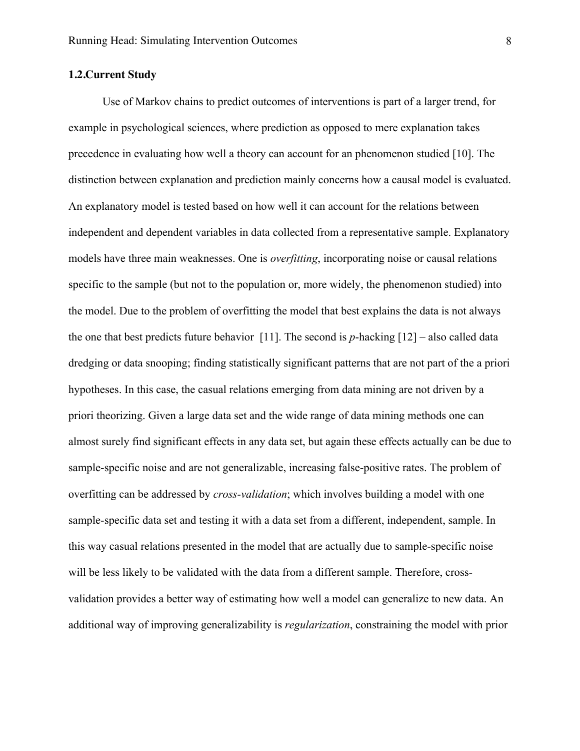### **1.2.Current Study**

Use of Markov chains to predict outcomes of interventions is part of a larger trend, for example in psychological sciences, where prediction as opposed to mere explanation takes precedence in evaluating how well a theory can account for an phenomenon studied [10]. The distinction between explanation and prediction mainly concerns how a causal model is evaluated. An explanatory model is tested based on how well it can account for the relations between independent and dependent variables in data collected from a representative sample. Explanatory models have three main weaknesses. One is *overfitting*, incorporating noise or causal relations specific to the sample (but not to the population or, more widely, the phenomenon studied) into the model. Due to the problem of overfitting the model that best explains the data is not always the one that best predicts future behavior [11]. The second is *p*-hacking [12] – also called data dredging or data snooping; finding statistically significant patterns that are not part of the a priori hypotheses. In this case, the casual relations emerging from data mining are not driven by a priori theorizing. Given a large data set and the wide range of data mining methods one can almost surely find significant effects in any data set, but again these effects actually can be due to sample-specific noise and are not generalizable, increasing false-positive rates. The problem of overfitting can be addressed by *cross-validation*; which involves building a model with one sample-specific data set and testing it with a data set from a different, independent, sample. In this way casual relations presented in the model that are actually due to sample-specific noise will be less likely to be validated with the data from a different sample. Therefore, crossvalidation provides a better way of estimating how well a model can generalize to new data. An additional way of improving generalizability is *regularization*, constraining the model with prior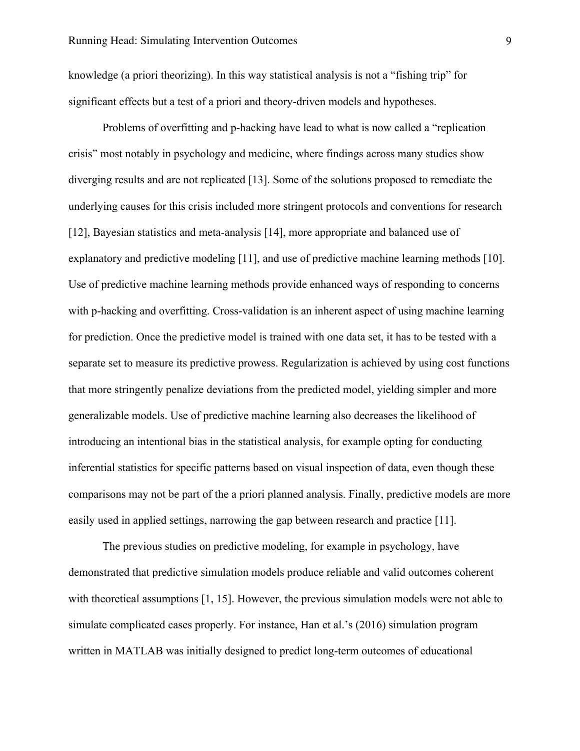knowledge (a priori theorizing). In this way statistical analysis is not a "fishing trip" for significant effects but a test of a priori and theory-driven models and hypotheses.

Problems of overfitting and p-hacking have lead to what is now called a "replication crisis" most notably in psychology and medicine, where findings across many studies show diverging results and are not replicated [13]. Some of the solutions proposed to remediate the underlying causes for this crisis included more stringent protocols and conventions for research [12], Bayesian statistics and meta-analysis [14], more appropriate and balanced use of explanatory and predictive modeling [11], and use of predictive machine learning methods [10]. Use of predictive machine learning methods provide enhanced ways of responding to concerns with p-hacking and overfitting. Cross-validation is an inherent aspect of using machine learning for prediction. Once the predictive model is trained with one data set, it has to be tested with a separate set to measure its predictive prowess. Regularization is achieved by using cost functions that more stringently penalize deviations from the predicted model, yielding simpler and more generalizable models. Use of predictive machine learning also decreases the likelihood of introducing an intentional bias in the statistical analysis, for example opting for conducting inferential statistics for specific patterns based on visual inspection of data, even though these comparisons may not be part of the a priori planned analysis. Finally, predictive models are more easily used in applied settings, narrowing the gap between research and practice [11].

The previous studies on predictive modeling, for example in psychology, have demonstrated that predictive simulation models produce reliable and valid outcomes coherent with theoretical assumptions [1, 15]. However, the previous simulation models were not able to simulate complicated cases properly. For instance, Han et al.'s (2016) simulation program written in MATLAB was initially designed to predict long-term outcomes of educational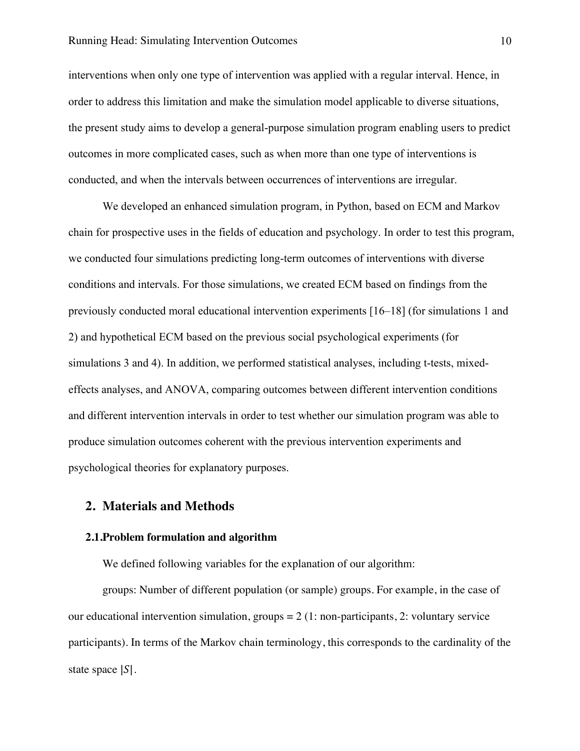interventions when only one type of intervention was applied with a regular interval. Hence, in order to address this limitation and make the simulation model applicable to diverse situations, the present study aims to develop a general-purpose simulation program enabling users to predict outcomes in more complicated cases, such as when more than one type of interventions is conducted, and when the intervals between occurrences of interventions are irregular.

We developed an enhanced simulation program, in Python, based on ECM and Markov chain for prospective uses in the fields of education and psychology. In order to test this program, we conducted four simulations predicting long-term outcomes of interventions with diverse conditions and intervals. For those simulations, we created ECM based on findings from the previously conducted moral educational intervention experiments [16–18] (for simulations 1 and 2) and hypothetical ECM based on the previous social psychological experiments (for simulations 3 and 4). In addition, we performed statistical analyses, including t-tests, mixedeffects analyses, and ANOVA, comparing outcomes between different intervention conditions and different intervention intervals in order to test whether our simulation program was able to produce simulation outcomes coherent with the previous intervention experiments and psychological theories for explanatory purposes.

## **2. Materials and Methods**

#### **2.1.Problem formulation and algorithm**

We defined following variables for the explanation of our algorithm:

groups: Number of different population (or sample) groups. For example, in the case of our educational intervention simulation, groups  $= 2$  (1: non-participants, 2: voluntary service participants). In terms of the Markov chain terminology, this corresponds to the cardinality of the state space  $|S|$ .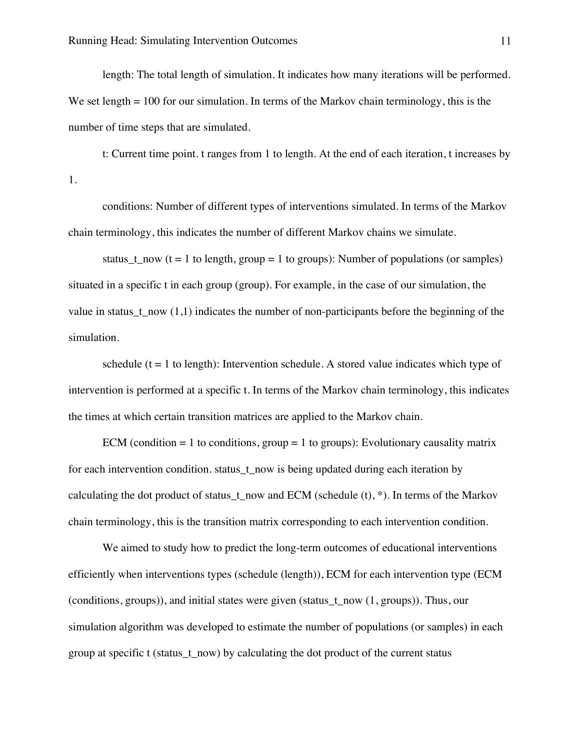length: The total length of simulation. It indicates how many iterations will be performed. We set length = 100 for our simulation. In terms of the Markov chain terminology, this is the number of time steps that are simulated.

t: Current time point. t ranges from 1 to length. At the end of each iteration, t increases by 1.

conditions: Number of different types of interventions simulated. In terms of the Markov chain terminology, this indicates the number of different Markov chains we simulate.

status t now (t = 1 to length, group = 1 to groups): Number of populations (or samples) situated in a specific t in each group (group). For example, in the case of our simulation, the value in status\_t\_now  $(1,1)$  indicates the number of non-participants before the beginning of the simulation.

schedule  $(t = 1$  to length): Intervention schedule. A stored value indicates which type of intervention is performed at a specific t. In terms of the Markov chain terminology, this indicates the times at which certain transition matrices are applied to the Markov chain.

ECM (condition  $= 1$  to conditions, group  $= 1$  to groups): Evolutionary causality matrix for each intervention condition. status\_t\_now is being updated during each iteration by calculating the dot product of status t now and ECM (schedule  $(t)$ , \*). In terms of the Markov chain terminology, this is the transition matrix corresponding to each intervention condition.

We aimed to study how to predict the long-term outcomes of educational interventions efficiently when interventions types (schedule (length)), ECM for each intervention type (ECM (conditions, groups)), and initial states were given (status\_t\_now (1, groups)). Thus, our simulation algorithm was developed to estimate the number of populations (or samples) in each group at specific t (status\_t\_now) by calculating the dot product of the current status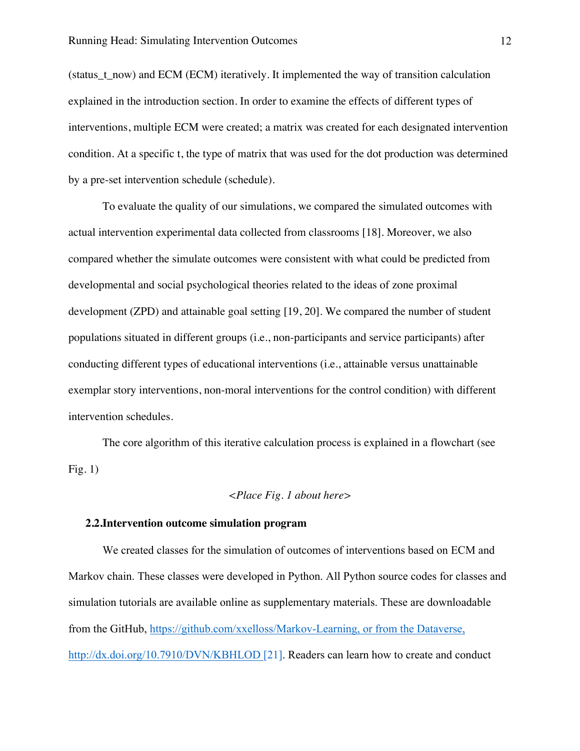(status t\_now) and ECM (ECM) iteratively. It implemented the way of transition calculation explained in the introduction section. In order to examine the effects of different types of interventions, multiple ECM were created; a matrix was created for each designated intervention condition. At a specific t, the type of matrix that was used for the dot production was determined by a pre-set intervention schedule (schedule).

To evaluate the quality of our simulations, we compared the simulated outcomes with actual intervention experimental data collected from classrooms [18]. Moreover, we also compared whether the simulate outcomes were consistent with what could be predicted from developmental and social psychological theories related to the ideas of zone proximal development (ZPD) and attainable goal setting [19, 20]. We compared the number of student populations situated in different groups (i.e., non-participants and service participants) after conducting different types of educational interventions (i.e., attainable versus unattainable exemplar story interventions, non-moral interventions for the control condition) with different intervention schedules.

The core algorithm of this iterative calculation process is explained in a flowchart (see Fig.  $1)$ 

#### *<Place Fig. 1 about here>*

#### **2.2.Intervention outcome simulation program**

We created classes for the simulation of outcomes of interventions based on ECM and Markov chain. These classes were developed in Python. All Python source codes for classes and simulation tutorials are available online as supplementary materials. These are downloadable from the GitHub, https://github.com/xxelloss/Markov-Learning, or from the Dataverse, http://dx.doi.org/10.7910/DVN/KBHLOD [21]. Readers can learn how to create and conduct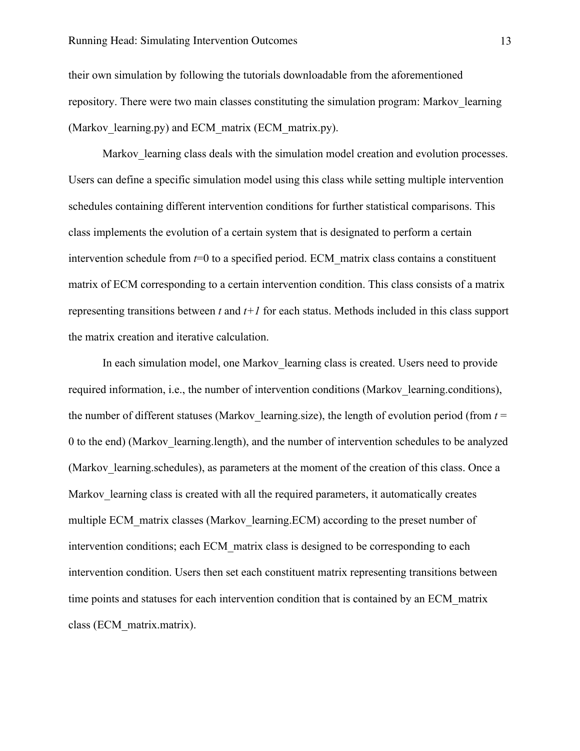#### Running Head: Simulating Intervention Outcomes 13

their own simulation by following the tutorials downloadable from the aforementioned repository. There were two main classes constituting the simulation program: Markov\_learning (Markov learning.py) and ECM matrix (ECM matrix.py).

Markov learning class deals with the simulation model creation and evolution processes. Users can define a specific simulation model using this class while setting multiple intervention schedules containing different intervention conditions for further statistical comparisons. This class implements the evolution of a certain system that is designated to perform a certain intervention schedule from  $t=0$  to a specified period. ECM matrix class contains a constituent matrix of ECM corresponding to a certain intervention condition. This class consists of a matrix representing transitions between *t* and *t+1* for each status. Methods included in this class support the matrix creation and iterative calculation.

In each simulation model, one Markov\_learning class is created. Users need to provide required information, i.e., the number of intervention conditions (Markov learning.conditions), the number of different statuses (Markov learning.size), the length of evolution period (from  $t =$ 0 to the end) (Markov\_learning.length), and the number of intervention schedules to be analyzed (Markov learning.schedules), as parameters at the moment of the creation of this class. Once a Markov learning class is created with all the required parameters, it automatically creates multiple ECM\_matrix classes (Markov\_learning.ECM) according to the preset number of intervention conditions; each ECM\_matrix class is designed to be corresponding to each intervention condition. Users then set each constituent matrix representing transitions between time points and statuses for each intervention condition that is contained by an ECM\_matrix class (ECM\_matrix.matrix).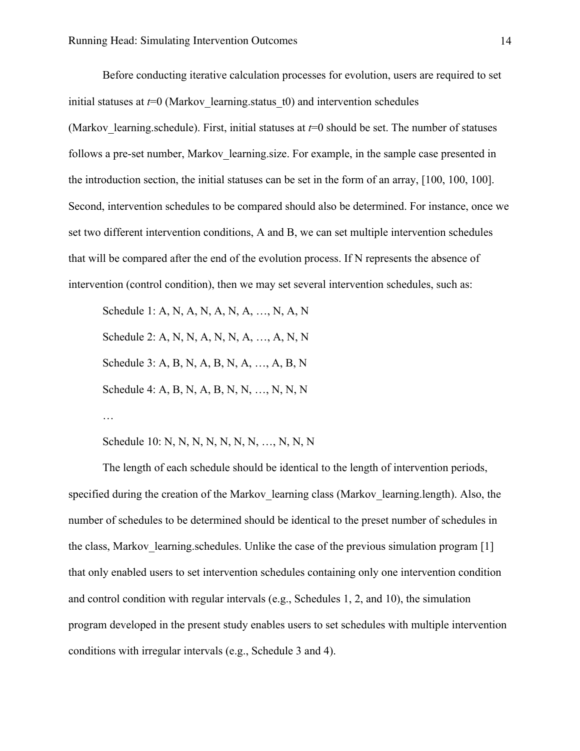Before conducting iterative calculation processes for evolution, users are required to set initial statuses at  $t=0$  (Markov learning status  $t(0)$ ) and intervention schedules (Markov learning.schedule). First, initial statuses at  $t=0$  should be set. The number of statuses follows a pre-set number, Markov learning size. For example, in the sample case presented in the introduction section, the initial statuses can be set in the form of an array, [100, 100, 100]. Second, intervention schedules to be compared should also be determined. For instance, once we set two different intervention conditions, A and B, we can set multiple intervention schedules that will be compared after the end of the evolution process. If N represents the absence of intervention (control condition), then we may set several intervention schedules, such as:

Schedule 1: A, N, A, N, A, N, A, …, N, A, N Schedule 2: A, N, N, A, N, N, A, …, A, N, N Schedule 3: A, B, N, A, B, N, A, …, A, B, N Schedule 4: A, B, N, A, B, N, N, ..., N, N, N

…

Schedule 10: N, N, N, N, N, N, N, ..., N, N, N

The length of each schedule should be identical to the length of intervention periods, specified during the creation of the Markov\_learning class (Markov\_learning.length). Also, the number of schedules to be determined should be identical to the preset number of schedules in the class, Markov learning. schedules. Unlike the case of the previous simulation program [1] that only enabled users to set intervention schedules containing only one intervention condition and control condition with regular intervals (e.g., Schedules 1, 2, and 10), the simulation program developed in the present study enables users to set schedules with multiple intervention conditions with irregular intervals (e.g., Schedule 3 and 4).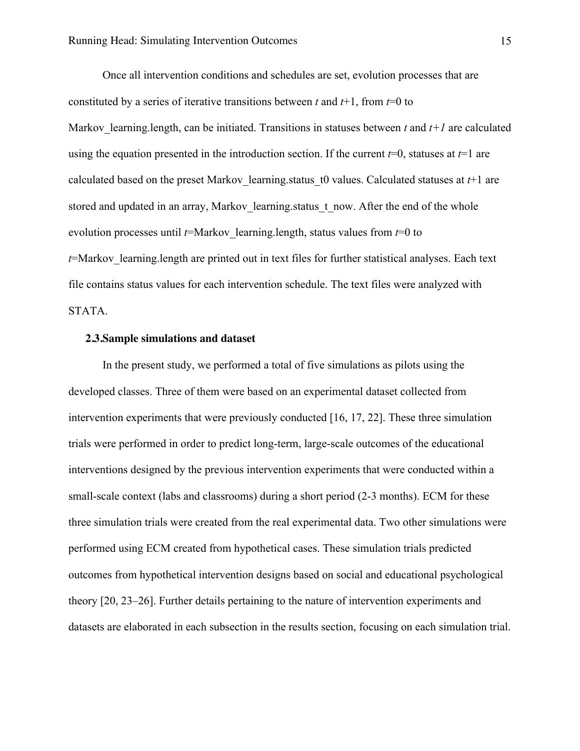Once all intervention conditions and schedules are set, evolution processes that are constituted by a series of iterative transitions between *t* and  $t+1$ , from  $t=0$  to Markov learning.length, can be initiated. Transitions in statuses between *t* and  $t+1$  are calculated using the equation presented in the introduction section. If the current *t*=0, statuses at *t*=1 are calculated based on the preset Markov learning status t0 values. Calculated statuses at  $t+1$  are stored and updated in an array, Markov learning status t now. After the end of the whole evolution processes until  $t=$ Markov learning.length, status values from  $t=0$  to *t*=Markov\_learning.length are printed out in text files for further statistical analyses. Each text file contains status values for each intervention schedule. The text files were analyzed with STATA.

#### **2.3.Sample simulations and dataset**

In the present study, we performed a total of five simulations as pilots using the developed classes. Three of them were based on an experimental dataset collected from intervention experiments that were previously conducted [16, 17, 22]. These three simulation trials were performed in order to predict long-term, large-scale outcomes of the educational interventions designed by the previous intervention experiments that were conducted within a small-scale context (labs and classrooms) during a short period (2-3 months). ECM for these three simulation trials were created from the real experimental data. Two other simulations were performed using ECM created from hypothetical cases. These simulation trials predicted outcomes from hypothetical intervention designs based on social and educational psychological theory [20, 23–26]. Further details pertaining to the nature of intervention experiments and datasets are elaborated in each subsection in the results section, focusing on each simulation trial.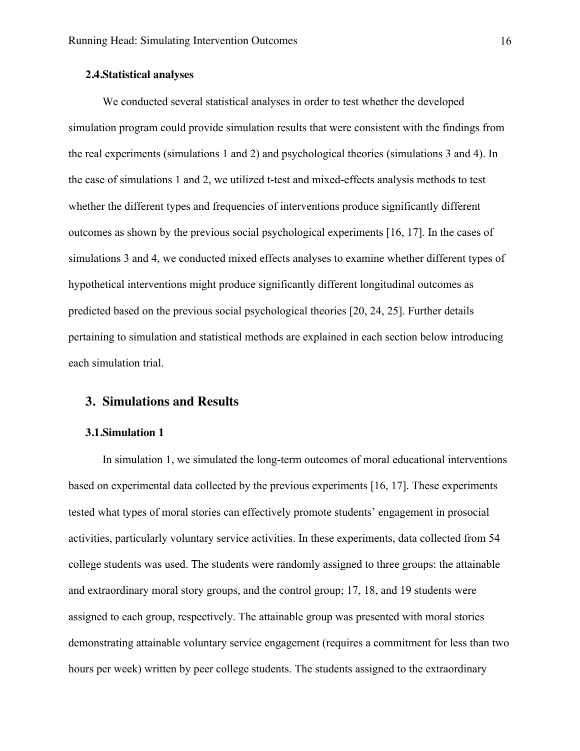#### **2.4.Statistical analyses**

We conducted several statistical analyses in order to test whether the developed simulation program could provide simulation results that were consistent with the findings from the real experiments (simulations 1 and 2) and psychological theories (simulations 3 and 4). In the case of simulations 1 and 2, we utilized t-test and mixed-effects analysis methods to test whether the different types and frequencies of interventions produce significantly different outcomes as shown by the previous social psychological experiments [16, 17]. In the cases of simulations 3 and 4, we conducted mixed effects analyses to examine whether different types of hypothetical interventions might produce significantly different longitudinal outcomes as predicted based on the previous social psychological theories [20, 24, 25]. Further details pertaining to simulation and statistical methods are explained in each section below introducing each simulation trial.

## **3. Simulations and Results**

### **3.1.Simulation 1**

In simulation 1, we simulated the long-term outcomes of moral educational interventions based on experimental data collected by the previous experiments [16, 17]. These experiments tested what types of moral stories can effectively promote students' engagement in prosocial activities, particularly voluntary service activities. In these experiments, data collected from 54 college students was used. The students were randomly assigned to three groups: the attainable and extraordinary moral story groups, and the control group; 17, 18, and 19 students were assigned to each group, respectively. The attainable group was presented with moral stories demonstrating attainable voluntary service engagement (requires a commitment for less than two hours per week) written by peer college students. The students assigned to the extraordinary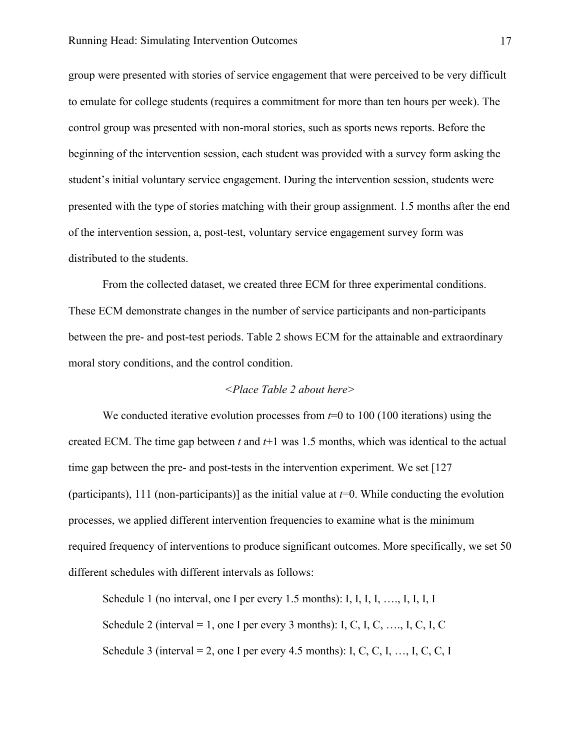group were presented with stories of service engagement that were perceived to be very difficult to emulate for college students (requires a commitment for more than ten hours per week). The control group was presented with non-moral stories, such as sports news reports. Before the beginning of the intervention session, each student was provided with a survey form asking the student's initial voluntary service engagement. During the intervention session, students were presented with the type of stories matching with their group assignment. 1.5 months after the end of the intervention session, a, post-test, voluntary service engagement survey form was distributed to the students.

From the collected dataset, we created three ECM for three experimental conditions. These ECM demonstrate changes in the number of service participants and non-participants between the pre- and post-test periods. Table 2 shows ECM for the attainable and extraordinary moral story conditions, and the control condition.

### *<Place Table 2 about here>*

We conducted iterative evolution processes from  $t=0$  to 100 (100 iterations) using the created ECM. The time gap between *t* and *t*+1 was 1.5 months, which was identical to the actual time gap between the pre- and post-tests in the intervention experiment. We set [127 (participants), 111 (non-participants)] as the initial value at *t*=0. While conducting the evolution processes, we applied different intervention frequencies to examine what is the minimum required frequency of interventions to produce significant outcomes. More specifically, we set 50 different schedules with different intervals as follows:

Schedule 1 (no interval, one I per every 1.5 months): I, I, I, I, ..., I, I, I, I Schedule 2 (interval = 1, one I per every 3 months): I, C, I, C, ..., I, C, I, C Schedule 3 (interval = 2, one I per every 4.5 months): I, C, C, I, ..., I, C, C, I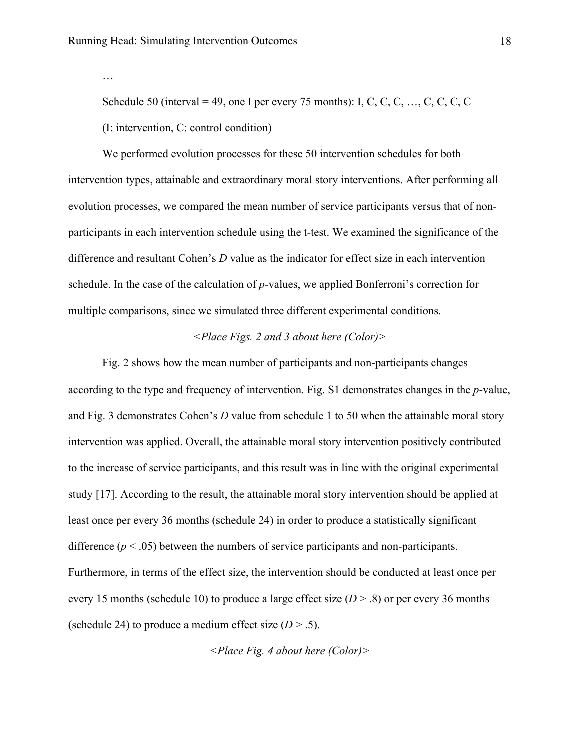…

Schedule 50 (interval = 49, one I per every 75 months): I, C, C, C, ..., C, C, C, C (I: intervention, C: control condition)

We performed evolution processes for these 50 intervention schedules for both intervention types, attainable and extraordinary moral story interventions. After performing all evolution processes, we compared the mean number of service participants versus that of nonparticipants in each intervention schedule using the t-test. We examined the significance of the difference and resultant Cohen's *D* value as the indicator for effect size in each intervention schedule. In the case of the calculation of *p*-values, we applied Bonferroni's correction for multiple comparisons, since we simulated three different experimental conditions.

## *<Place Figs. 2 and 3 about here (Color)>*

Fig. 2 shows how the mean number of participants and non-participants changes according to the type and frequency of intervention. Fig. S1 demonstrates changes in the *p*-value, and Fig. 3 demonstrates Cohen's *D* value from schedule 1 to 50 when the attainable moral story intervention was applied. Overall, the attainable moral story intervention positively contributed to the increase of service participants, and this result was in line with the original experimental study [17]. According to the result, the attainable moral story intervention should be applied at least once per every 36 months (schedule 24) in order to produce a statistically significant difference  $(p < .05)$  between the numbers of service participants and non-participants. Furthermore, in terms of the effect size, the intervention should be conducted at least once per every 15 months (schedule 10) to produce a large effect size (*D* > .8) or per every 36 months (schedule 24) to produce a medium effect size  $(D > .5)$ .

*<Place Fig. 4 about here (Color)>*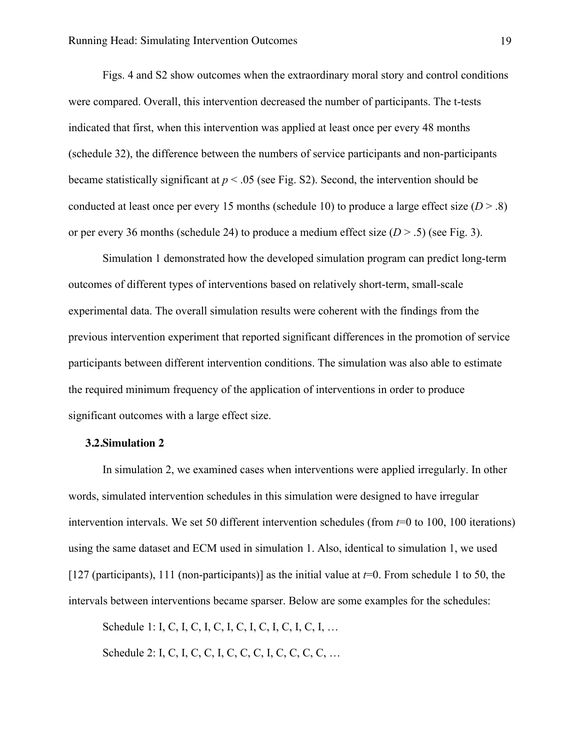Figs. 4 and S2 show outcomes when the extraordinary moral story and control conditions were compared. Overall, this intervention decreased the number of participants. The t-tests indicated that first, when this intervention was applied at least once per every 48 months (schedule 32), the difference between the numbers of service participants and non-participants became statistically significant at  $p < .05$  (see Fig. S2). Second, the intervention should be conducted at least once per every 15 months (schedule 10) to produce a large effect size  $(D > .8)$ or per every 36 months (schedule 24) to produce a medium effect size  $(D > .5)$  (see Fig. 3).

Simulation 1 demonstrated how the developed simulation program can predict long-term outcomes of different types of interventions based on relatively short-term, small-scale experimental data. The overall simulation results were coherent with the findings from the previous intervention experiment that reported significant differences in the promotion of service participants between different intervention conditions. The simulation was also able to estimate the required minimum frequency of the application of interventions in order to produce significant outcomes with a large effect size.

#### **3.2.Simulation 2**

In simulation 2, we examined cases when interventions were applied irregularly. In other words, simulated intervention schedules in this simulation were designed to have irregular intervention intervals. We set 50 different intervention schedules (from *t*=0 to 100, 100 iterations) using the same dataset and ECM used in simulation 1. Also, identical to simulation 1, we used [127 (participants), 111 (non-participants)] as the initial value at *t*=0. From schedule 1 to 50, the intervals between interventions became sparser. Below are some examples for the schedules:

Schedule 1: I, C, I, C, I, C, I, C, I, C, I, C, I, C, I, ...

Schedule 2: I, C, I, C, C, I, C, C, I, C, C, C, C, ...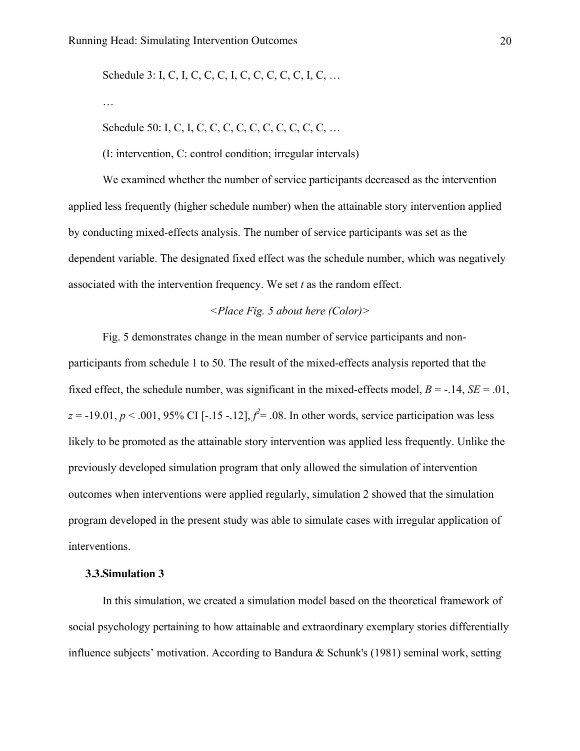Schedule 3: I, C, I, C, C, C, I, C, C, C, C, C, I, C, ...

…

Schedule 50: I, C, I, C, C, C, C, C, C, C, C, C, C, …

(I: intervention, C: control condition; irregular intervals)

We examined whether the number of service participants decreased as the intervention applied less frequently (higher schedule number) when the attainable story intervention applied by conducting mixed-effects analysis. The number of service participants was set as the dependent variable. The designated fixed effect was the schedule number, which was negatively associated with the intervention frequency. We set *t* as the random effect.

#### *<Place Fig. 5 about here (Color)>*

Fig. 5 demonstrates change in the mean number of service participants and nonparticipants from schedule 1 to 50. The result of the mixed-effects analysis reported that the fixed effect, the schedule number, was significant in the mixed-effects model,  $B = -14$ ,  $SE = .01$ ,  $z = -19.01, p < .001, 95\%$  CI [-.15 -.12],  $f^2 = .08$ . In other words, service participation was less likely to be promoted as the attainable story intervention was applied less frequently. Unlike the previously developed simulation program that only allowed the simulation of intervention outcomes when interventions were applied regularly, simulation 2 showed that the simulation program developed in the present study was able to simulate cases with irregular application of interventions.

#### **3.3.Simulation 3**

In this simulation, we created a simulation model based on the theoretical framework of social psychology pertaining to how attainable and extraordinary exemplary stories differentially influence subjects' motivation. According to Bandura & Schunk's (1981) seminal work, setting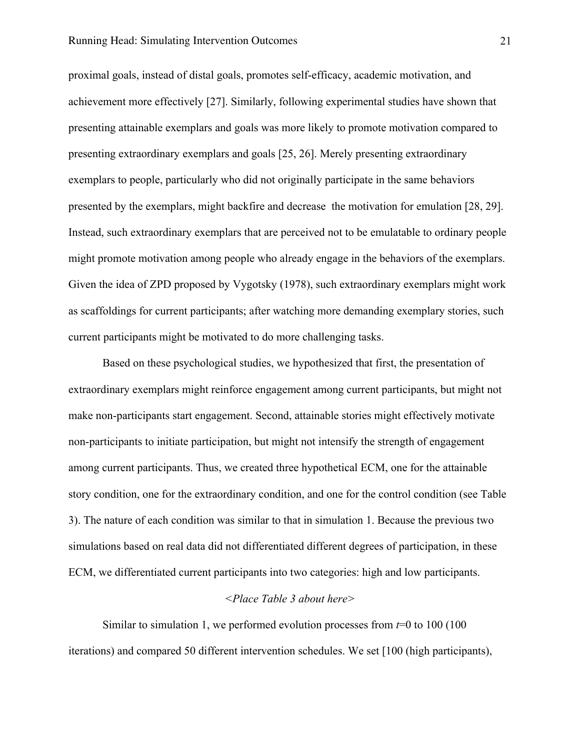#### Running Head: Simulating Intervention Outcomes 21

proximal goals, instead of distal goals, promotes self-efficacy, academic motivation, and achievement more effectively [27]. Similarly, following experimental studies have shown that presenting attainable exemplars and goals was more likely to promote motivation compared to presenting extraordinary exemplars and goals [25, 26]. Merely presenting extraordinary exemplars to people, particularly who did not originally participate in the same behaviors presented by the exemplars, might backfire and decrease the motivation for emulation [28, 29]. Instead, such extraordinary exemplars that are perceived not to be emulatable to ordinary people might promote motivation among people who already engage in the behaviors of the exemplars. Given the idea of ZPD proposed by Vygotsky (1978), such extraordinary exemplars might work as scaffoldings for current participants; after watching more demanding exemplary stories, such current participants might be motivated to do more challenging tasks.

Based on these psychological studies, we hypothesized that first, the presentation of extraordinary exemplars might reinforce engagement among current participants, but might not make non-participants start engagement. Second, attainable stories might effectively motivate non-participants to initiate participation, but might not intensify the strength of engagement among current participants. Thus, we created three hypothetical ECM, one for the attainable story condition, one for the extraordinary condition, and one for the control condition (see Table 3). The nature of each condition was similar to that in simulation 1. Because the previous two simulations based on real data did not differentiated different degrees of participation, in these ECM, we differentiated current participants into two categories: high and low participants.

### *<Place Table 3 about here>*

Similar to simulation 1, we performed evolution processes from *t*=0 to 100 (100 iterations) and compared 50 different intervention schedules. We set [100 (high participants),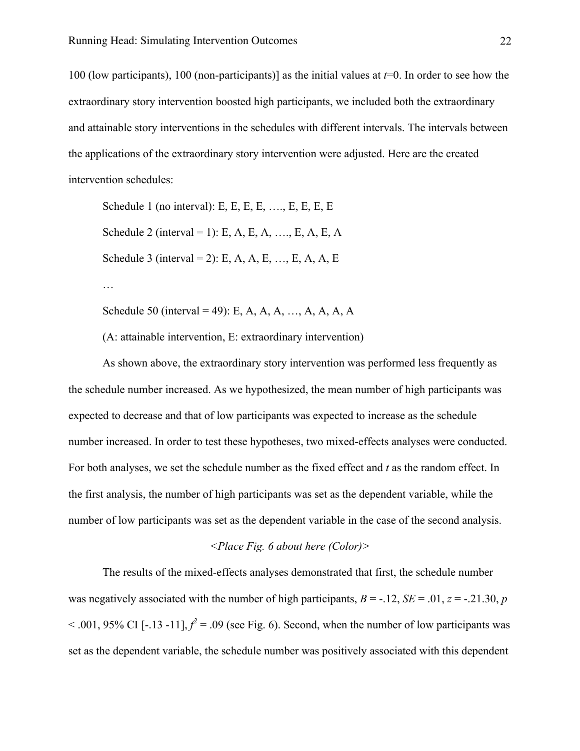100 (low participants), 100 (non-participants)] as the initial values at *t*=0. In order to see how the extraordinary story intervention boosted high participants, we included both the extraordinary and attainable story interventions in the schedules with different intervals. The intervals between the applications of the extraordinary story intervention were adjusted. Here are the created intervention schedules:

Schedule 1 (no interval): E, E, E, E, ..., E, E, E, E Schedule 2 (interval = 1): E, A, E, A, ..., E, A, E, A Schedule 3 (interval = 2): E, A, A, E, ..., E, A, A, E …

Schedule 50 (interval = 49): E, A, A, A,  $A_1, A_2, A_3, A_4, A_5$ 

(A: attainable intervention, E: extraordinary intervention)

As shown above, the extraordinary story intervention was performed less frequently as the schedule number increased. As we hypothesized, the mean number of high participants was expected to decrease and that of low participants was expected to increase as the schedule number increased. In order to test these hypotheses, two mixed-effects analyses were conducted. For both analyses, we set the schedule number as the fixed effect and *t* as the random effect. In the first analysis, the number of high participants was set as the dependent variable, while the number of low participants was set as the dependent variable in the case of the second analysis.

#### *<Place Fig. 6 about here (Color)>*

The results of the mixed-effects analyses demonstrated that first, the schedule number was negatively associated with the number of high participants,  $B = -12$ ,  $SE = .01$ ,  $z = -0.21$ .30, *p*  $2$  - .001, 95% CI [-.13 -11],  $f^2$  = .09 (see Fig. 6). Second, when the number of low participants was set as the dependent variable, the schedule number was positively associated with this dependent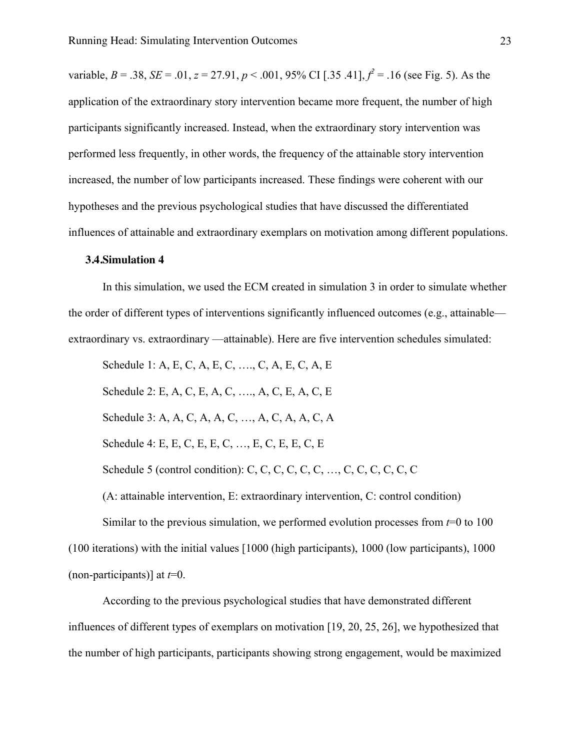variable, *B* = .38, *SE* = .01, *z* = 27.91, *p* < .001, 95% CI [.35 .41],  $f^2$  = .16 (see Fig. 5). As the application of the extraordinary story intervention became more frequent, the number of high participants significantly increased. Instead, when the extraordinary story intervention was performed less frequently, in other words, the frequency of the attainable story intervention increased, the number of low participants increased. These findings were coherent with our hypotheses and the previous psychological studies that have discussed the differentiated influences of attainable and extraordinary exemplars on motivation among different populations.

#### **3.4.Simulation 4**

In this simulation, we used the ECM created in simulation 3 in order to simulate whether the order of different types of interventions significantly influenced outcomes (e.g., attainable extraordinary vs. extraordinary —attainable). Here are five intervention schedules simulated:

Schedule 1: A, E, C, A, E, C, …., C, A, E, C, A, E

Schedule 2: E, A, C, E, A, C, …., A, C, E, A, C, E

Schedule 3: A, A, C, A, A, C, …, A, C, A, A, C, A

Schedule 4: E, E, C, E, E, C, …, E, C, E, E, C, E

Schedule 5 (control condition): C, C, C, C, C, C, …, C, C, C, C, C, C

(A: attainable intervention, E: extraordinary intervention, C: control condition)

Similar to the previous simulation, we performed evolution processes from *t*=0 to 100 (100 iterations) with the initial values [1000 (high participants), 1000 (low participants), 1000 (non-participants)] at *t*=0.

According to the previous psychological studies that have demonstrated different influences of different types of exemplars on motivation [19, 20, 25, 26], we hypothesized that the number of high participants, participants showing strong engagement, would be maximized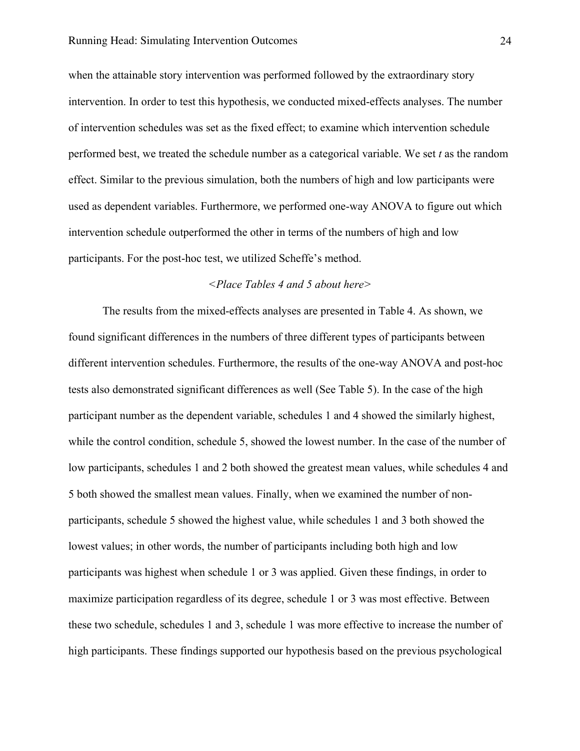when the attainable story intervention was performed followed by the extraordinary story intervention. In order to test this hypothesis, we conducted mixed-effects analyses. The number of intervention schedules was set as the fixed effect; to examine which intervention schedule performed best, we treated the schedule number as a categorical variable. We set *t* as the random effect. Similar to the previous simulation, both the numbers of high and low participants were used as dependent variables. Furthermore, we performed one-way ANOVA to figure out which intervention schedule outperformed the other in terms of the numbers of high and low participants. For the post-hoc test, we utilized Scheffe's method.

### *<Place Tables 4 and 5 about here>*

The results from the mixed-effects analyses are presented in Table 4. As shown, we found significant differences in the numbers of three different types of participants between different intervention schedules. Furthermore, the results of the one-way ANOVA and post-hoc tests also demonstrated significant differences as well (See Table 5). In the case of the high participant number as the dependent variable, schedules 1 and 4 showed the similarly highest, while the control condition, schedule 5, showed the lowest number. In the case of the number of low participants, schedules 1 and 2 both showed the greatest mean values, while schedules 4 and 5 both showed the smallest mean values. Finally, when we examined the number of nonparticipants, schedule 5 showed the highest value, while schedules 1 and 3 both showed the lowest values; in other words, the number of participants including both high and low participants was highest when schedule 1 or 3 was applied. Given these findings, in order to maximize participation regardless of its degree, schedule 1 or 3 was most effective. Between these two schedule, schedules 1 and 3, schedule 1 was more effective to increase the number of high participants. These findings supported our hypothesis based on the previous psychological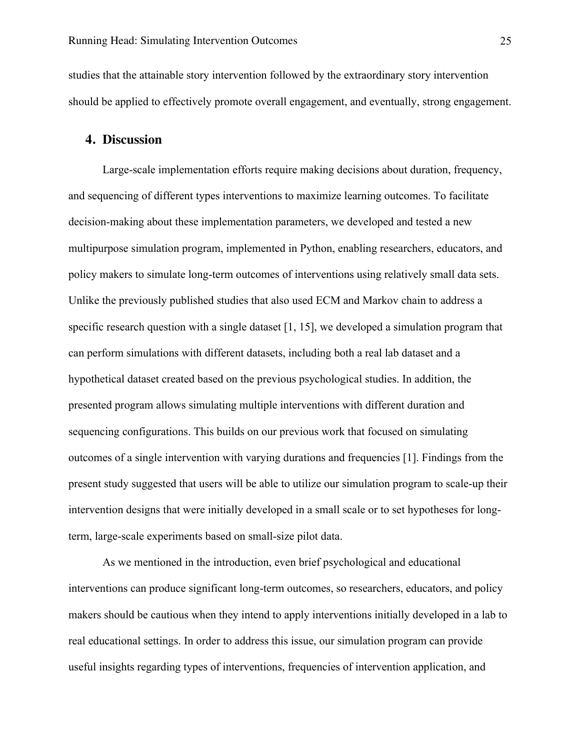studies that the attainable story intervention followed by the extraordinary story intervention should be applied to effectively promote overall engagement, and eventually, strong engagement.

## **4. Discussion**

Large-scale implementation efforts require making decisions about duration, frequency, and sequencing of different types interventions to maximize learning outcomes. To facilitate decision-making about these implementation parameters, we developed and tested a new multipurpose simulation program, implemented in Python, enabling researchers, educators, and policy makers to simulate long-term outcomes of interventions using relatively small data sets. Unlike the previously published studies that also used ECM and Markov chain to address a specific research question with a single dataset [1, 15], we developed a simulation program that can perform simulations with different datasets, including both a real lab dataset and a hypothetical dataset created based on the previous psychological studies. In addition, the presented program allows simulating multiple interventions with different duration and sequencing configurations. This builds on our previous work that focused on simulating outcomes of a single intervention with varying durations and frequencies [1]. Findings from the present study suggested that users will be able to utilize our simulation program to scale-up their intervention designs that were initially developed in a small scale or to set hypotheses for longterm, large-scale experiments based on small-size pilot data.

As we mentioned in the introduction, even brief psychological and educational interventions can produce significant long-term outcomes, so researchers, educators, and policy makers should be cautious when they intend to apply interventions initially developed in a lab to real educational settings. In order to address this issue, our simulation program can provide useful insights regarding types of interventions, frequencies of intervention application, and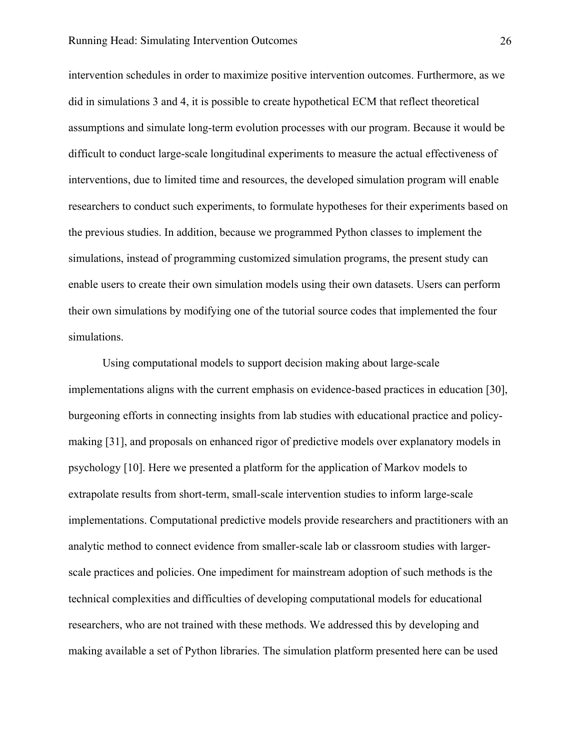intervention schedules in order to maximize positive intervention outcomes. Furthermore, as we did in simulations 3 and 4, it is possible to create hypothetical ECM that reflect theoretical assumptions and simulate long-term evolution processes with our program. Because it would be difficult to conduct large-scale longitudinal experiments to measure the actual effectiveness of interventions, due to limited time and resources, the developed simulation program will enable researchers to conduct such experiments, to formulate hypotheses for their experiments based on the previous studies. In addition, because we programmed Python classes to implement the simulations, instead of programming customized simulation programs, the present study can enable users to create their own simulation models using their own datasets. Users can perform their own simulations by modifying one of the tutorial source codes that implemented the four simulations.

Using computational models to support decision making about large-scale implementations aligns with the current emphasis on evidence-based practices in education [30], burgeoning efforts in connecting insights from lab studies with educational practice and policymaking [31], and proposals on enhanced rigor of predictive models over explanatory models in psychology [10]. Here we presented a platform for the application of Markov models to extrapolate results from short-term, small-scale intervention studies to inform large-scale implementations. Computational predictive models provide researchers and practitioners with an analytic method to connect evidence from smaller-scale lab or classroom studies with largerscale practices and policies. One impediment for mainstream adoption of such methods is the technical complexities and difficulties of developing computational models for educational researchers, who are not trained with these methods. We addressed this by developing and making available a set of Python libraries. The simulation platform presented here can be used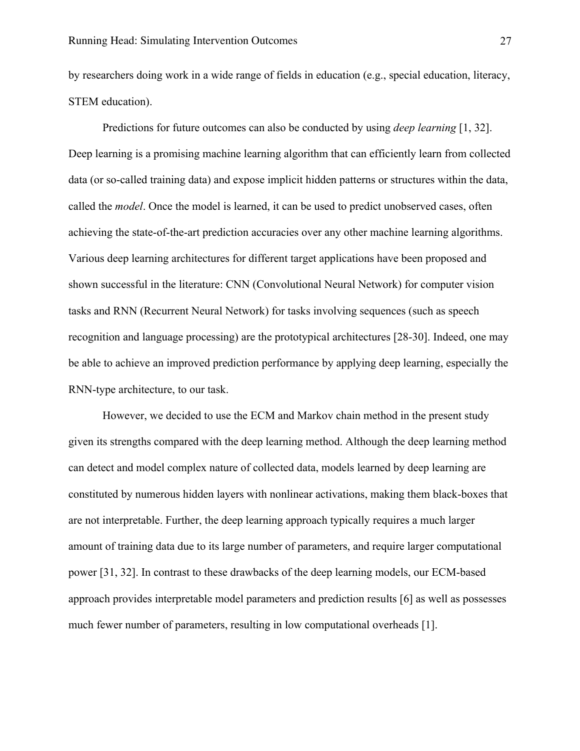by researchers doing work in a wide range of fields in education (e.g., special education, literacy, STEM education).

Predictions for future outcomes can also be conducted by using *deep learning* [1, 32]. Deep learning is a promising machine learning algorithm that can efficiently learn from collected data (or so-called training data) and expose implicit hidden patterns or structures within the data, called the *model*. Once the model is learned, it can be used to predict unobserved cases, often achieving the state-of-the-art prediction accuracies over any other machine learning algorithms. Various deep learning architectures for different target applications have been proposed and shown successful in the literature: CNN (Convolutional Neural Network) for computer vision tasks and RNN (Recurrent Neural Network) for tasks involving sequences (such as speech recognition and language processing) are the prototypical architectures [28-30]. Indeed, one may be able to achieve an improved prediction performance by applying deep learning, especially the RNN-type architecture, to our task.

However, we decided to use the ECM and Markov chain method in the present study given its strengths compared with the deep learning method. Although the deep learning method can detect and model complex nature of collected data, models learned by deep learning are constituted by numerous hidden layers with nonlinear activations, making them black-boxes that are not interpretable. Further, the deep learning approach typically requires a much larger amount of training data due to its large number of parameters, and require larger computational power [31, 32]. In contrast to these drawbacks of the deep learning models, our ECM-based approach provides interpretable model parameters and prediction results [6] as well as possesses much fewer number of parameters, resulting in low computational overheads [1].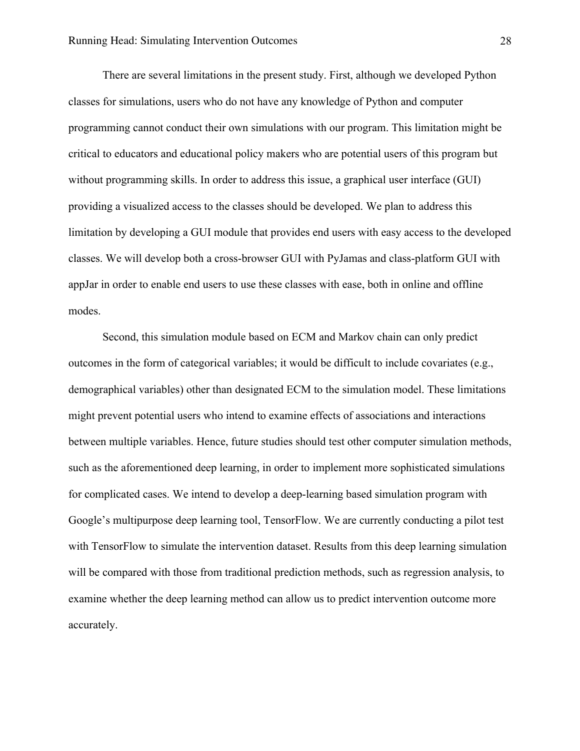There are several limitations in the present study. First, although we developed Python classes for simulations, users who do not have any knowledge of Python and computer programming cannot conduct their own simulations with our program. This limitation might be critical to educators and educational policy makers who are potential users of this program but without programming skills. In order to address this issue, a graphical user interface (GUI) providing a visualized access to the classes should be developed. We plan to address this limitation by developing a GUI module that provides end users with easy access to the developed classes. We will develop both a cross-browser GUI with PyJamas and class-platform GUI with appJar in order to enable end users to use these classes with ease, both in online and offline modes.

Second, this simulation module based on ECM and Markov chain can only predict outcomes in the form of categorical variables; it would be difficult to include covariates (e.g., demographical variables) other than designated ECM to the simulation model. These limitations might prevent potential users who intend to examine effects of associations and interactions between multiple variables. Hence, future studies should test other computer simulation methods, such as the aforementioned deep learning, in order to implement more sophisticated simulations for complicated cases. We intend to develop a deep-learning based simulation program with Google's multipurpose deep learning tool, TensorFlow. We are currently conducting a pilot test with TensorFlow to simulate the intervention dataset. Results from this deep learning simulation will be compared with those from traditional prediction methods, such as regression analysis, to examine whether the deep learning method can allow us to predict intervention outcome more accurately.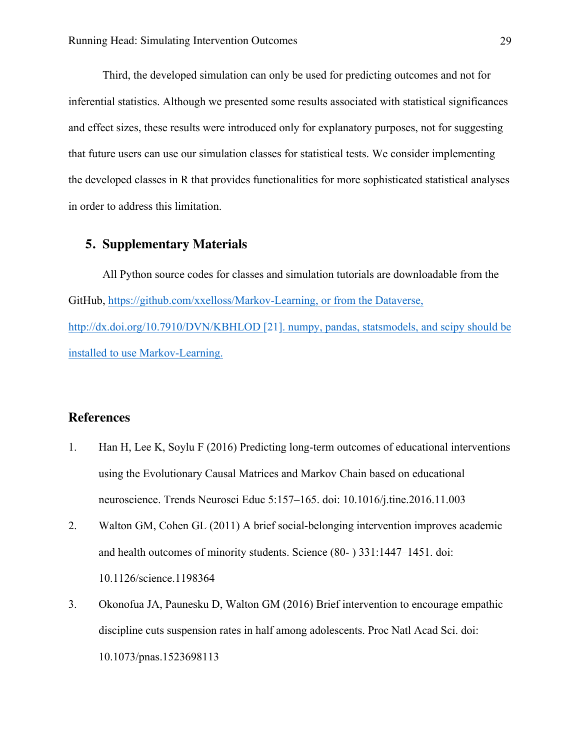Third, the developed simulation can only be used for predicting outcomes and not for inferential statistics. Although we presented some results associated with statistical significances and effect sizes, these results were introduced only for explanatory purposes, not for suggesting that future users can use our simulation classes for statistical tests. We consider implementing the developed classes in R that provides functionalities for more sophisticated statistical analyses in order to address this limitation.

## **5. Supplementary Materials**

All Python source codes for classes and simulation tutorials are downloadable from the GitHub, https://github.com/xxelloss/Markov-Learning, or from the Dataverse, http://dx.doi.org/10.7910/DVN/KBHLOD [21]. numpy, pandas, statsmodels, and scipy should be installed to use Markov-Learning.

## **References**

- 1. Han H, Lee K, Soylu F (2016) Predicting long-term outcomes of educational interventions using the Evolutionary Causal Matrices and Markov Chain based on educational neuroscience. Trends Neurosci Educ 5:157–165. doi: 10.1016/j.tine.2016.11.003
- 2. Walton GM, Cohen GL (2011) A brief social-belonging intervention improves academic and health outcomes of minority students. Science (80- ) 331:1447–1451. doi: 10.1126/science.1198364
- 3. Okonofua JA, Paunesku D, Walton GM (2016) Brief intervention to encourage empathic discipline cuts suspension rates in half among adolescents. Proc Natl Acad Sci. doi: 10.1073/pnas.1523698113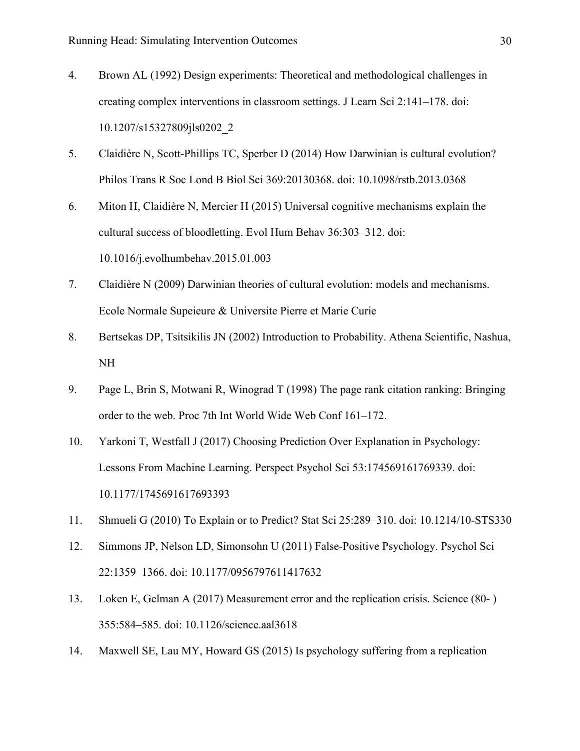- 4. Brown AL (1992) Design experiments: Theoretical and methodological challenges in creating complex interventions in classroom settings. J Learn Sci 2:141–178. doi: 10.1207/s15327809jls0202\_2
- 5. Claidière N, Scott-Phillips TC, Sperber D (2014) How Darwinian is cultural evolution? Philos Trans R Soc Lond B Biol Sci 369:20130368. doi: 10.1098/rstb.2013.0368
- 6. Miton H, Claidière N, Mercier H (2015) Universal cognitive mechanisms explain the cultural success of bloodletting. Evol Hum Behav 36:303–312. doi: 10.1016/j.evolhumbehav.2015.01.003
- 7. Claidière N (2009) Darwinian theories of cultural evolution: models and mechanisms. Ecole Normale Supeieure & Universite Pierre et Marie Curie
- 8. Bertsekas DP, Tsitsikilis JN (2002) Introduction to Probability. Athena Scientific, Nashua, NH
- 9. Page L, Brin S, Motwani R, Winograd T (1998) The page rank citation ranking: Bringing order to the web. Proc 7th Int World Wide Web Conf 161–172.
- 10. Yarkoni T, Westfall J (2017) Choosing Prediction Over Explanation in Psychology: Lessons From Machine Learning. Perspect Psychol Sci 53:174569161769339. doi: 10.1177/1745691617693393
- 11. Shmueli G (2010) To Explain or to Predict? Stat Sci 25:289–310. doi: 10.1214/10-STS330
- 12. Simmons JP, Nelson LD, Simonsohn U (2011) False-Positive Psychology. Psychol Sci 22:1359–1366. doi: 10.1177/0956797611417632
- 13. Loken E, Gelman A (2017) Measurement error and the replication crisis. Science (80- ) 355:584–585. doi: 10.1126/science.aal3618
- 14. Maxwell SE, Lau MY, Howard GS (2015) Is psychology suffering from a replication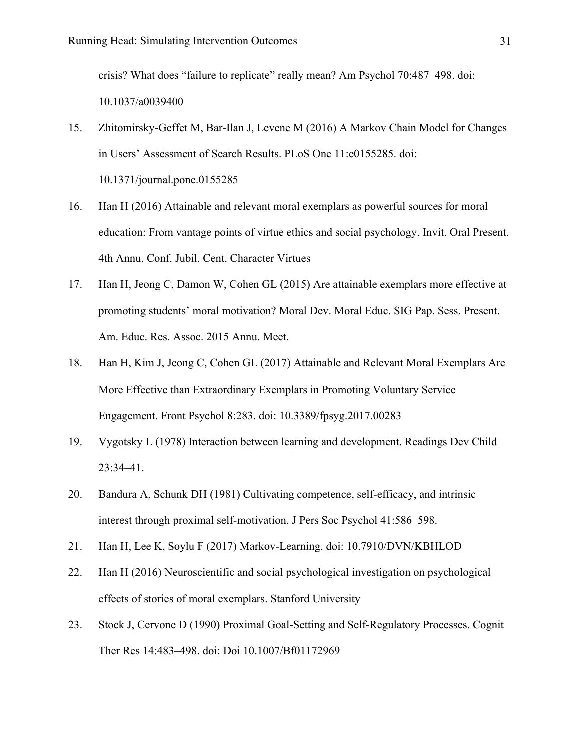crisis? What does "failure to replicate" really mean? Am Psychol 70:487–498. doi: 10.1037/a0039400

- 15. Zhitomirsky-Geffet M, Bar-Ilan J, Levene M (2016) A Markov Chain Model for Changes in Users' Assessment of Search Results. PLoS One 11:e0155285. doi: 10.1371/journal.pone.0155285
- 16. Han H (2016) Attainable and relevant moral exemplars as powerful sources for moral education: From vantage points of virtue ethics and social psychology. Invit. Oral Present. 4th Annu. Conf. Jubil. Cent. Character Virtues
- 17. Han H, Jeong C, Damon W, Cohen GL (2015) Are attainable exemplars more effective at promoting students' moral motivation? Moral Dev. Moral Educ. SIG Pap. Sess. Present. Am. Educ. Res. Assoc. 2015 Annu. Meet.
- 18. Han H, Kim J, Jeong C, Cohen GL (2017) Attainable and Relevant Moral Exemplars Are More Effective than Extraordinary Exemplars in Promoting Voluntary Service Engagement. Front Psychol 8:283. doi: 10.3389/fpsyg.2017.00283
- 19. Vygotsky L (1978) Interaction between learning and development. Readings Dev Child 23:34–41.
- 20. Bandura A, Schunk DH (1981) Cultivating competence, self-efficacy, and intrinsic interest through proximal self-motivation. J Pers Soc Psychol 41:586–598.
- 21. Han H, Lee K, Soylu F (2017) Markov-Learning. doi: 10.7910/DVN/KBHLOD
- 22. Han H (2016) Neuroscientific and social psychological investigation on psychological effects of stories of moral exemplars. Stanford University
- 23. Stock J, Cervone D (1990) Proximal Goal-Setting and Self-Regulatory Processes. Cognit Ther Res 14:483–498. doi: Doi 10.1007/Bf01172969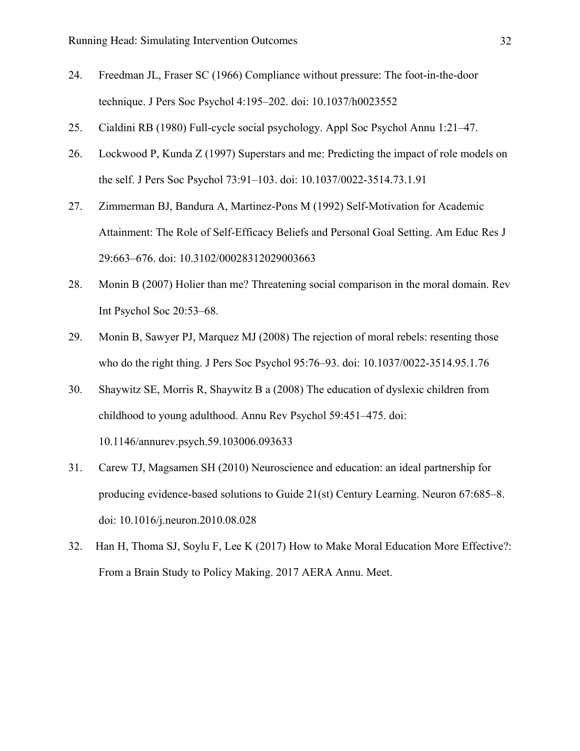- 24. Freedman JL, Fraser SC (1966) Compliance without pressure: The foot-in-the-door technique. J Pers Soc Psychol 4:195–202. doi: 10.1037/h0023552
- 25. Cialdini RB (1980) Full-cycle social psychology. Appl Soc Psychol Annu 1:21–47.
- 26. Lockwood P, Kunda Z (1997) Superstars and me: Predicting the impact of role models on the self. J Pers Soc Psychol 73:91–103. doi: 10.1037/0022-3514.73.1.91
- 27. Zimmerman BJ, Bandura A, Martinez-Pons M (1992) Self-Motivation for Academic Attainment: The Role of Self-Efficacy Beliefs and Personal Goal Setting. Am Educ Res J 29:663–676. doi: 10.3102/00028312029003663
- 28. Monin B (2007) Holier than me? Threatening social comparison in the moral domain. Rev Int Psychol Soc 20:53–68.
- 29. Monin B, Sawyer PJ, Marquez MJ (2008) The rejection of moral rebels: resenting those who do the right thing. J Pers Soc Psychol 95:76–93. doi: 10.1037/0022-3514.95.1.76
- 30. Shaywitz SE, Morris R, Shaywitz B a (2008) The education of dyslexic children from childhood to young adulthood. Annu Rev Psychol 59:451–475. doi: 10.1146/annurev.psych.59.103006.093633
- 31. Carew TJ, Magsamen SH (2010) Neuroscience and education: an ideal partnership for producing evidence-based solutions to Guide 21(st) Century Learning. Neuron 67:685–8. doi: 10.1016/j.neuron.2010.08.028
- 32. Han H, Thoma SJ, Soylu F, Lee K (2017) How to Make Moral Education More Effective?: From a Brain Study to Policy Making. 2017 AERA Annu. Meet.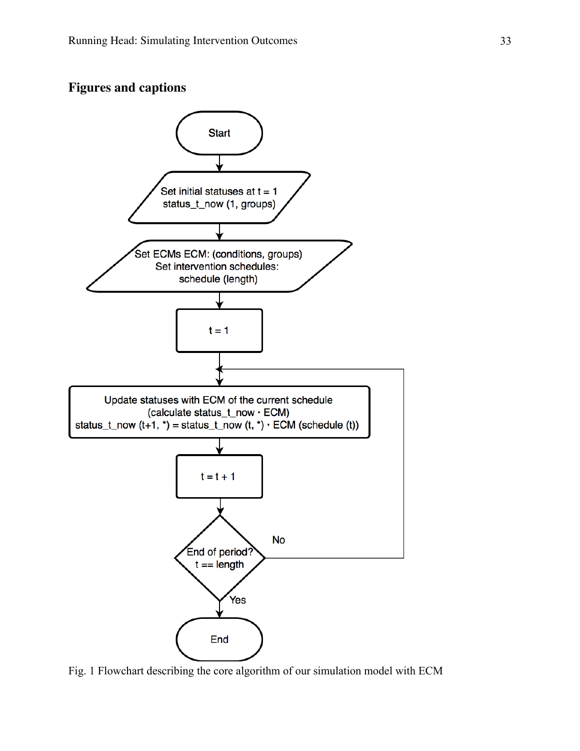



Fig. 1 Flowchart describing the core algorithm of our simulation model with ECM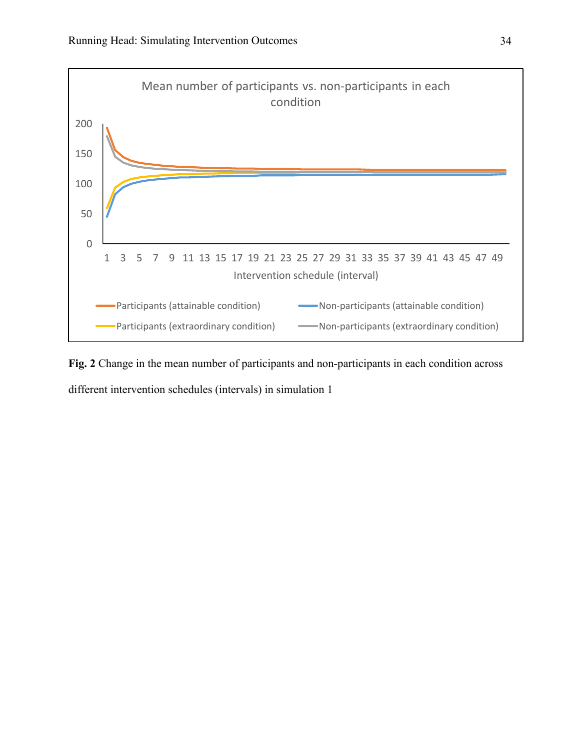

**Fig. 2** Change in the mean number of participants and non-participants in each condition across

different intervention schedules (intervals) in simulation 1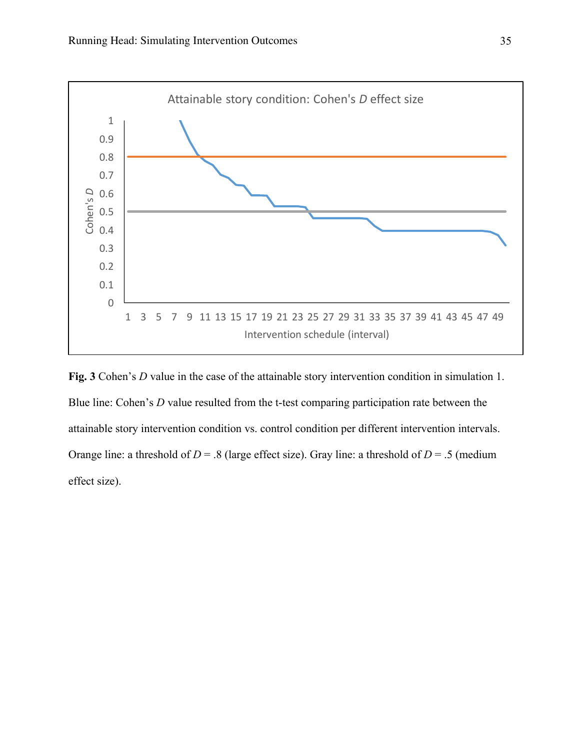

**Fig. 3** Cohen's *D* value in the case of the attainable story intervention condition in simulation 1. Blue line: Cohen's *D* value resulted from the t-test comparing participation rate between the attainable story intervention condition vs. control condition per different intervention intervals. Orange line: a threshold of  $D = .8$  (large effect size). Gray line: a threshold of  $D = .5$  (medium effect size).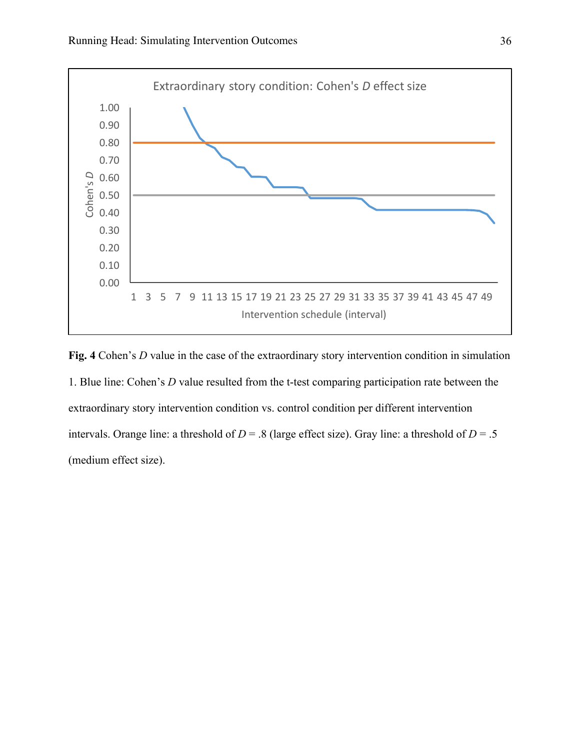

**Fig. 4** Cohen's *D* value in the case of the extraordinary story intervention condition in simulation 1. Blue line: Cohen's *D* value resulted from the t-test comparing participation rate between the extraordinary story intervention condition vs. control condition per different intervention intervals. Orange line: a threshold of  $D = .8$  (large effect size). Gray line: a threshold of  $D = .5$ (medium effect size).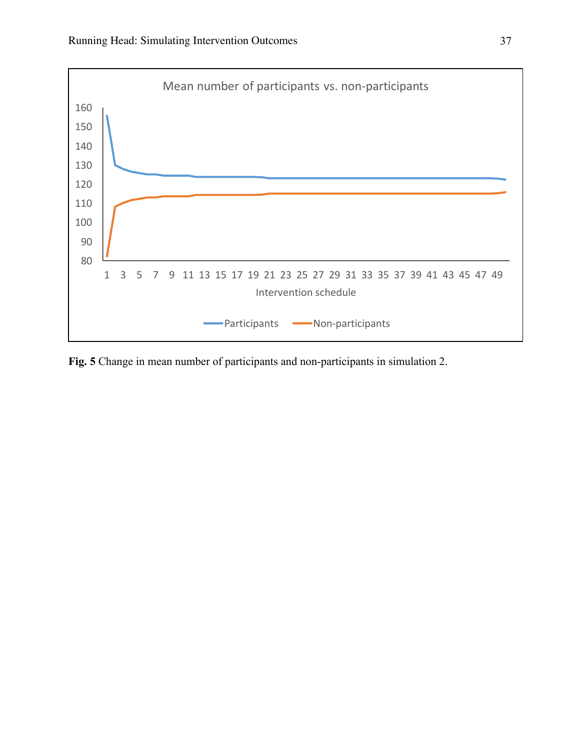

**Fig. 5** Change in mean number of participants and non-participants in simulation 2.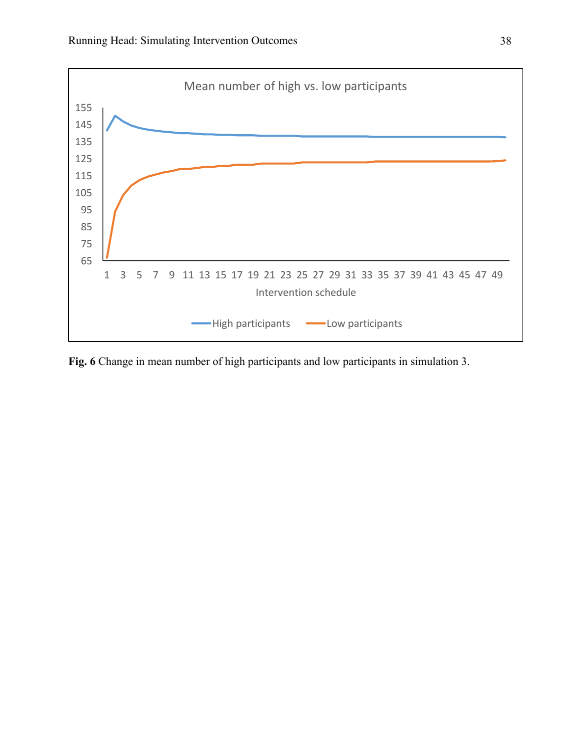

**Fig. 6** Change in mean number of high participants and low participants in simulation 3.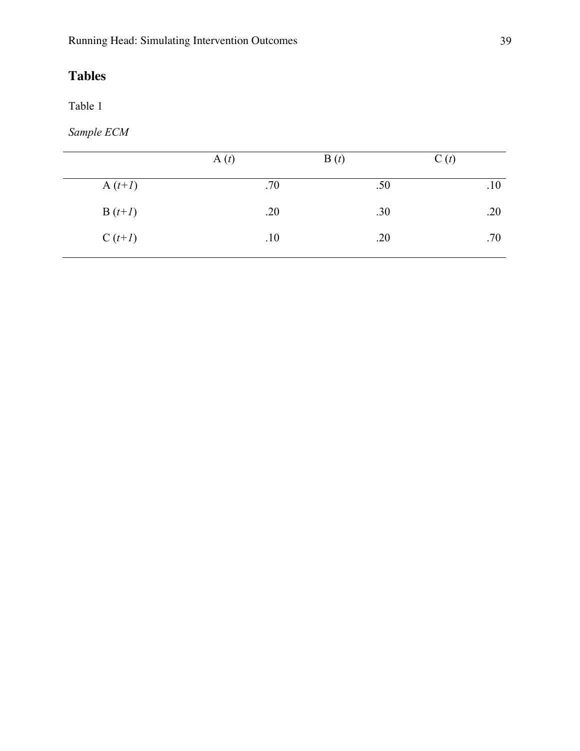Table 1

*Sample ECM*

|           | A(t) | B(t) | C(t) |
|-----------|------|------|------|
| A $(t+1)$ | .70  | .50  | .10  |
| $B(t+1)$  | .20  | .30  | .20  |
| $C(t+1)$  | .10  | .20  | .70  |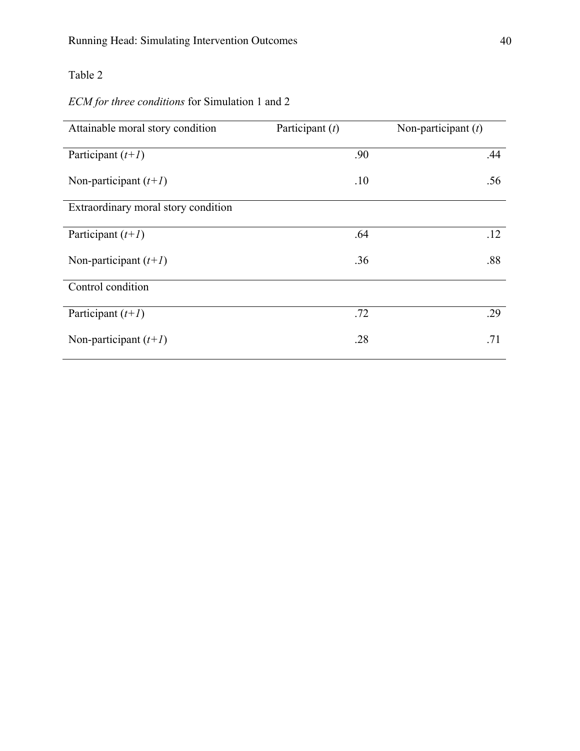## *ECM for three conditions* for Simulation 1 and 2

| Attainable moral story condition    | Participant $(t)$ | Non-participant $(t)$ |
|-------------------------------------|-------------------|-----------------------|
| Participant $(t+1)$                 | .90               | .44                   |
| Non-participant $(t+1)$             | .10               | .56                   |
| Extraordinary moral story condition |                   |                       |
| Participant $(t+1)$                 | .64               | .12                   |
| Non-participant $(t+1)$             | .36               | .88                   |
| Control condition                   |                   |                       |
| Participant $(t+1)$                 | .72               | .29                   |
| Non-participant $(t+1)$             | .28               | .71                   |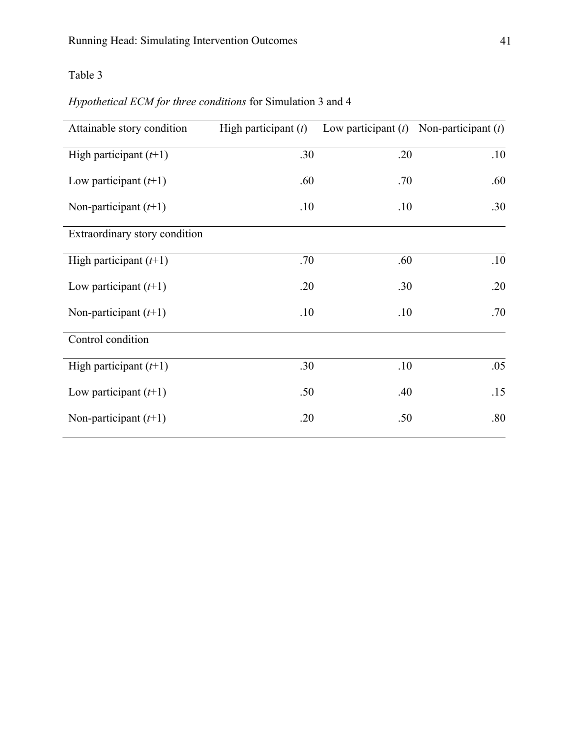## *Hypothetical ECM for three conditions* for Simulation 3 and 4

| Attainable story condition    | High participant $(t)$ | Low participant $(t)$ Non-participant $(t)$ |     |
|-------------------------------|------------------------|---------------------------------------------|-----|
| High participant $(t+1)$      | .30                    | .20                                         | .10 |
| Low participant $(t+1)$       | .60                    | .70                                         | .60 |
| Non-participant $(t+1)$       | .10                    | .10                                         | .30 |
| Extraordinary story condition |                        |                                             |     |
| High participant $(t+1)$      | .70                    | .60                                         | .10 |
| Low participant $(t+1)$       | .20                    | .30                                         | .20 |
| Non-participant $(t+1)$       | .10                    | .10                                         | .70 |
| Control condition             |                        |                                             |     |
| High participant $(t+1)$      | .30                    | .10                                         | .05 |
| Low participant $(t+1)$       | .50                    | .40                                         | .15 |
| Non-participant $(t+1)$       | .20                    | .50                                         | .80 |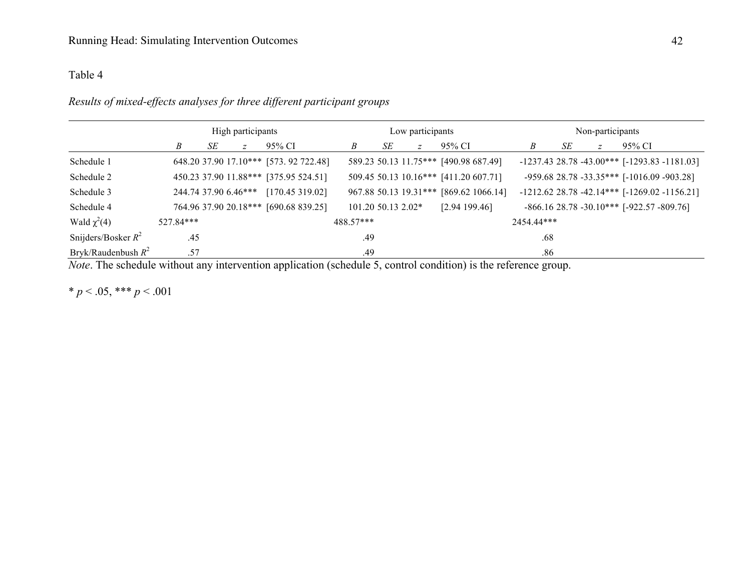## *Results of mixed-effects analyses for three different participant groups*

|                       | High participants |    |   |                                       | Low participants |    |                    |                                        | Non-participants |    |                                                     |        |                                                  |
|-----------------------|-------------------|----|---|---------------------------------------|------------------|----|--------------------|----------------------------------------|------------------|----|-----------------------------------------------------|--------|--------------------------------------------------|
|                       | Β                 | SE | Z | 95% CI                                | B                | SE | Z                  | 95% CI                                 | B                | SE | Z                                                   | 95% CI |                                                  |
| Schedule 1            |                   |    |   | 648.20 37.90 17.10*** [573.92 722.48] |                  |    |                    | 589.23 50.13 11.75*** [490.98 687.49]  |                  |    |                                                     |        | $-1237.43$ 28.78 $-43.00***$ [-1293.83 -1181.03] |
| Schedule 2            |                   |    |   | 450.23 37.90 11.88*** [375.95 524.51] |                  |    |                    | 509.45 50.13 10.16*** [411.20 607.71]  |                  |    | -959.68 28.78 -33.35*** [-1016.09 -903.28]          |        |                                                  |
| Schedule 3            |                   |    |   | 244.74 37.90 6.46*** [170.45 319.02]  |                  |    |                    | 967.88 50.13 19.31*** [869.62 1066.14] |                  |    |                                                     |        | $-1212.6228.78 - 42.14***$ [-1269.02 -1156.21]   |
| Schedule 4            |                   |    |   | 764.96 37.90 20.18*** [690.68 839.25] |                  |    | 101.20 50.13 2.02* | [2.94199.46]                           |                  |    | $-866.16$ 28.78 $-30.10***$ [ $-922.57$ $-809.76$ ] |        |                                                  |
| Wald $\chi^2(4)$      | 527.84***         |    |   |                                       | 488.57***        |    |                    |                                        | 2454.44***       |    |                                                     |        |                                                  |
| Snijders/Bosker $R^2$ | .45               |    |   |                                       | .49              |    |                    |                                        | .68              |    |                                                     |        |                                                  |
| Bryk/Raudenbush $R^2$ | .57               |    |   |                                       | .49              |    |                    |                                        | .86              |    |                                                     |        |                                                  |

*Note*. The schedule without any intervention application (schedule 5, control condition) is the reference group.

\*  $p < .05$ , \*\*\*  $p < .001$